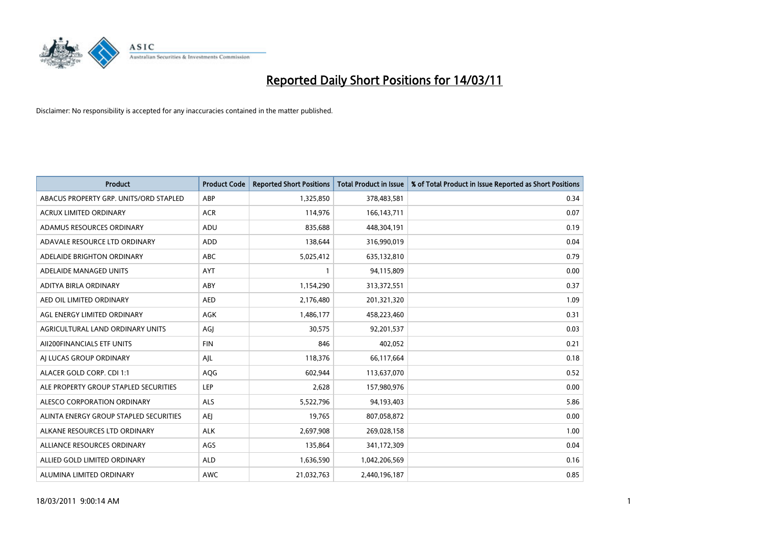

| <b>Product</b>                         | <b>Product Code</b> | <b>Reported Short Positions</b> | <b>Total Product in Issue</b> | % of Total Product in Issue Reported as Short Positions |
|----------------------------------------|---------------------|---------------------------------|-------------------------------|---------------------------------------------------------|
| ABACUS PROPERTY GRP. UNITS/ORD STAPLED | ABP                 | 1,325,850                       | 378,483,581                   | 0.34                                                    |
| ACRUX LIMITED ORDINARY                 | <b>ACR</b>          | 114,976                         | 166, 143, 711                 | 0.07                                                    |
| ADAMUS RESOURCES ORDINARY              | ADU                 | 835,688                         | 448,304,191                   | 0.19                                                    |
| ADAVALE RESOURCE LTD ORDINARY          | <b>ADD</b>          | 138,644                         | 316,990,019                   | 0.04                                                    |
| ADELAIDE BRIGHTON ORDINARY             | <b>ABC</b>          | 5,025,412                       | 635,132,810                   | 0.79                                                    |
| ADELAIDE MANAGED UNITS                 | <b>AYT</b>          |                                 | 94,115,809                    | 0.00                                                    |
| ADITYA BIRLA ORDINARY                  | ABY                 | 1,154,290                       | 313,372,551                   | 0.37                                                    |
| AED OIL LIMITED ORDINARY               | <b>AED</b>          | 2,176,480                       | 201,321,320                   | 1.09                                                    |
| AGL ENERGY LIMITED ORDINARY            | AGK                 | 1,486,177                       | 458,223,460                   | 0.31                                                    |
| AGRICULTURAL LAND ORDINARY UNITS       | AGJ                 | 30,575                          | 92,201,537                    | 0.03                                                    |
| AII200FINANCIALS ETF UNITS             | <b>FIN</b>          | 846                             | 402,052                       | 0.21                                                    |
| AI LUCAS GROUP ORDINARY                | AJL                 | 118,376                         | 66,117,664                    | 0.18                                                    |
| ALACER GOLD CORP. CDI 1:1              | AQG                 | 602,944                         | 113,637,070                   | 0.52                                                    |
| ALE PROPERTY GROUP STAPLED SECURITIES  | LEP                 | 2,628                           | 157,980,976                   | 0.00                                                    |
| ALESCO CORPORATION ORDINARY            | <b>ALS</b>          | 5,522,796                       | 94,193,403                    | 5.86                                                    |
| ALINTA ENERGY GROUP STAPLED SECURITIES | <b>AEI</b>          | 19,765                          | 807,058,872                   | 0.00                                                    |
| ALKANE RESOURCES LTD ORDINARY          | <b>ALK</b>          | 2,697,908                       | 269,028,158                   | 1.00                                                    |
| ALLIANCE RESOURCES ORDINARY            | AGS                 | 135,864                         | 341,172,309                   | 0.04                                                    |
| ALLIED GOLD LIMITED ORDINARY           | <b>ALD</b>          | 1,636,590                       | 1,042,206,569                 | 0.16                                                    |
| ALUMINA LIMITED ORDINARY               | <b>AWC</b>          | 21,032,763                      | 2,440,196,187                 | 0.85                                                    |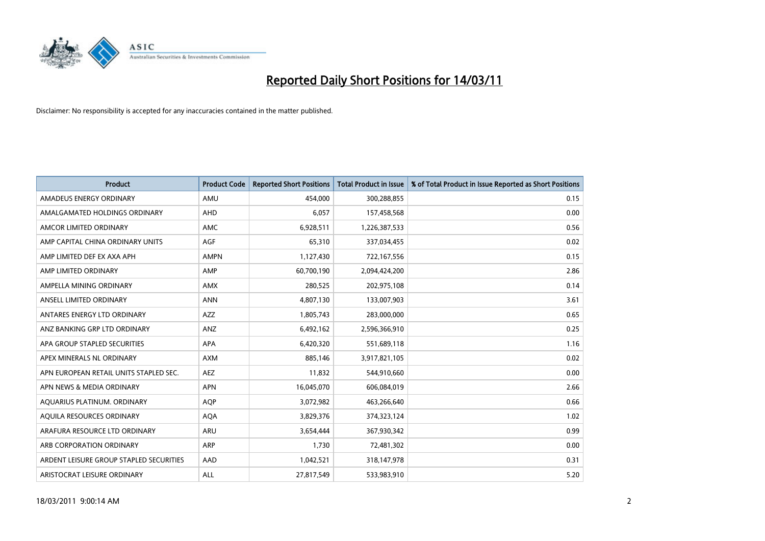

| <b>Product</b>                          | <b>Product Code</b> | <b>Reported Short Positions</b> | <b>Total Product in Issue</b> | % of Total Product in Issue Reported as Short Positions |
|-----------------------------------------|---------------------|---------------------------------|-------------------------------|---------------------------------------------------------|
| AMADEUS ENERGY ORDINARY                 | AMU                 | 454,000                         | 300,288,855                   | 0.15                                                    |
| AMALGAMATED HOLDINGS ORDINARY           | AHD                 | 6,057                           | 157,458,568                   | 0.00                                                    |
| AMCOR LIMITED ORDINARY                  | <b>AMC</b>          | 6,928,511                       | 1,226,387,533                 | 0.56                                                    |
| AMP CAPITAL CHINA ORDINARY UNITS        | AGF                 | 65,310                          | 337,034,455                   | 0.02                                                    |
| AMP LIMITED DEF EX AXA APH              | <b>AMPN</b>         | 1,127,430                       | 722,167,556                   | 0.15                                                    |
| AMP LIMITED ORDINARY                    | AMP                 | 60,700,190                      | 2,094,424,200                 | 2.86                                                    |
| AMPELLA MINING ORDINARY                 | <b>AMX</b>          | 280,525                         | 202,975,108                   | 0.14                                                    |
| ANSELL LIMITED ORDINARY                 | <b>ANN</b>          | 4,807,130                       | 133,007,903                   | 3.61                                                    |
| ANTARES ENERGY LTD ORDINARY             | <b>AZZ</b>          | 1,805,743                       | 283,000,000                   | 0.65                                                    |
| ANZ BANKING GRP LTD ORDINARY            | ANZ                 | 6,492,162                       | 2,596,366,910                 | 0.25                                                    |
| APA GROUP STAPLED SECURITIES            | <b>APA</b>          | 6,420,320                       | 551,689,118                   | 1.16                                                    |
| APEX MINERALS NL ORDINARY               | <b>AXM</b>          | 885.146                         | 3,917,821,105                 | 0.02                                                    |
| APN EUROPEAN RETAIL UNITS STAPLED SEC.  | <b>AEZ</b>          | 11,832                          | 544,910,660                   | 0.00                                                    |
| APN NEWS & MEDIA ORDINARY               | <b>APN</b>          | 16,045,070                      | 606,084,019                   | 2.66                                                    |
| AQUARIUS PLATINUM. ORDINARY             | <b>AOP</b>          | 3,072,982                       | 463,266,640                   | 0.66                                                    |
| AQUILA RESOURCES ORDINARY               | <b>AQA</b>          | 3,829,376                       | 374,323,124                   | 1.02                                                    |
| ARAFURA RESOURCE LTD ORDINARY           | <b>ARU</b>          | 3,654,444                       | 367,930,342                   | 0.99                                                    |
| ARB CORPORATION ORDINARY                | <b>ARP</b>          | 1,730                           | 72,481,302                    | 0.00                                                    |
| ARDENT LEISURE GROUP STAPLED SECURITIES | AAD                 | 1,042,521                       | 318,147,978                   | 0.31                                                    |
| ARISTOCRAT LEISURE ORDINARY             | ALL                 | 27.817.549                      | 533,983,910                   | 5.20                                                    |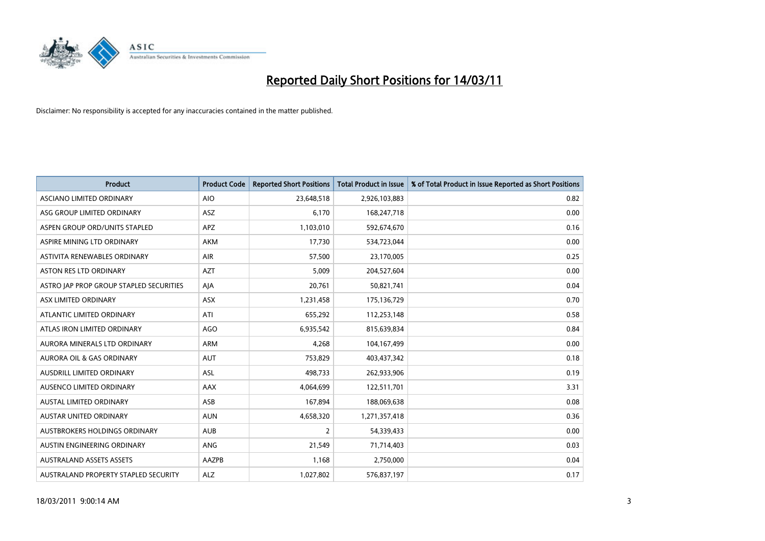

| <b>Product</b>                          | <b>Product Code</b> | <b>Reported Short Positions</b> | Total Product in Issue | % of Total Product in Issue Reported as Short Positions |
|-----------------------------------------|---------------------|---------------------------------|------------------------|---------------------------------------------------------|
| <b>ASCIANO LIMITED ORDINARY</b>         | <b>AIO</b>          | 23,648,518                      | 2,926,103,883          | 0.82                                                    |
| ASG GROUP LIMITED ORDINARY              | <b>ASZ</b>          | 6,170                           | 168,247,718            | 0.00                                                    |
| ASPEN GROUP ORD/UNITS STAPLED           | <b>APZ</b>          | 1,103,010                       | 592,674,670            | 0.16                                                    |
| ASPIRE MINING LTD ORDINARY              | <b>AKM</b>          | 17,730                          | 534,723,044            | 0.00                                                    |
| ASTIVITA RENEWABLES ORDINARY            | <b>AIR</b>          | 57,500                          | 23,170,005             | 0.25                                                    |
| <b>ASTON RES LTD ORDINARY</b>           | <b>AZT</b>          | 5,009                           | 204,527,604            | 0.00                                                    |
| ASTRO JAP PROP GROUP STAPLED SECURITIES | AJA                 | 20,761                          | 50,821,741             | 0.04                                                    |
| ASX LIMITED ORDINARY                    | <b>ASX</b>          | 1,231,458                       | 175,136,729            | 0.70                                                    |
| ATLANTIC LIMITED ORDINARY               | ATI                 | 655,292                         | 112,253,148            | 0.58                                                    |
| ATLAS IRON LIMITED ORDINARY             | <b>AGO</b>          | 6,935,542                       | 815,639,834            | 0.84                                                    |
| AURORA MINERALS LTD ORDINARY            | <b>ARM</b>          | 4,268                           | 104,167,499            | 0.00                                                    |
| <b>AURORA OIL &amp; GAS ORDINARY</b>    | <b>AUT</b>          | 753,829                         | 403,437,342            | 0.18                                                    |
| AUSDRILL LIMITED ORDINARY               | <b>ASL</b>          | 498,733                         | 262,933,906            | 0.19                                                    |
| AUSENCO LIMITED ORDINARY                | <b>AAX</b>          | 4,064,699                       | 122,511,701            | 3.31                                                    |
| AUSTAL LIMITED ORDINARY                 | ASB                 | 167,894                         | 188,069,638            | 0.08                                                    |
| <b>AUSTAR UNITED ORDINARY</b>           | <b>AUN</b>          | 4,658,320                       | 1,271,357,418          | 0.36                                                    |
| AUSTBROKERS HOLDINGS ORDINARY           | <b>AUB</b>          | $\overline{2}$                  | 54,339,433             | 0.00                                                    |
| AUSTIN ENGINEERING ORDINARY             | ANG                 | 21,549                          | 71,714,403             | 0.03                                                    |
| <b>AUSTRALAND ASSETS ASSETS</b>         | <b>AAZPB</b>        | 1,168                           | 2,750,000              | 0.04                                                    |
| AUSTRALAND PROPERTY STAPLED SECURITY    | <b>ALZ</b>          | 1,027,802                       | 576,837,197            | 0.17                                                    |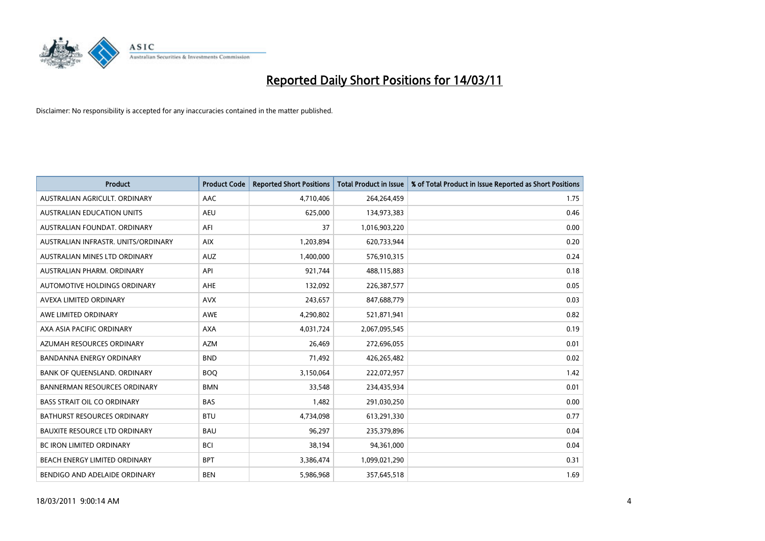

| <b>Product</b>                       | <b>Product Code</b> | <b>Reported Short Positions</b> | Total Product in Issue | % of Total Product in Issue Reported as Short Positions |
|--------------------------------------|---------------------|---------------------------------|------------------------|---------------------------------------------------------|
| AUSTRALIAN AGRICULT, ORDINARY        | <b>AAC</b>          | 4,710,406                       | 264,264,459            | 1.75                                                    |
| <b>AUSTRALIAN EDUCATION UNITS</b>    | <b>AEU</b>          | 625,000                         | 134,973,383            | 0.46                                                    |
| AUSTRALIAN FOUNDAT, ORDINARY         | AFI                 | 37                              | 1,016,903,220          | 0.00                                                    |
| AUSTRALIAN INFRASTR. UNITS/ORDINARY  | <b>AIX</b>          | 1,203,894                       | 620,733,944            | 0.20                                                    |
| AUSTRALIAN MINES LTD ORDINARY        | <b>AUZ</b>          | 1,400,000                       | 576,910,315            | 0.24                                                    |
| AUSTRALIAN PHARM, ORDINARY           | API                 | 921,744                         | 488,115,883            | 0.18                                                    |
| AUTOMOTIVE HOLDINGS ORDINARY         | <b>AHE</b>          | 132,092                         | 226,387,577            | 0.05                                                    |
| AVEXA LIMITED ORDINARY               | <b>AVX</b>          | 243,657                         | 847,688,779            | 0.03                                                    |
| AWE LIMITED ORDINARY                 | <b>AWE</b>          | 4,290,802                       | 521,871,941            | 0.82                                                    |
| AXA ASIA PACIFIC ORDINARY            | <b>AXA</b>          | 4,031,724                       | 2,067,095,545          | 0.19                                                    |
| AZUMAH RESOURCES ORDINARY            | <b>AZM</b>          | 26,469                          | 272,696,055            | 0.01                                                    |
| BANDANNA ENERGY ORDINARY             | <b>BND</b>          | 71,492                          | 426,265,482            | 0.02                                                    |
| BANK OF QUEENSLAND. ORDINARY         | <b>BOQ</b>          | 3,150,064                       | 222,072,957            | 1.42                                                    |
| <b>BANNERMAN RESOURCES ORDINARY</b>  | <b>BMN</b>          | 33,548                          | 234,435,934            | 0.01                                                    |
| <b>BASS STRAIT OIL CO ORDINARY</b>   | <b>BAS</b>          | 1,482                           | 291,030,250            | 0.00                                                    |
| <b>BATHURST RESOURCES ORDINARY</b>   | <b>BTU</b>          | 4,734,098                       | 613,291,330            | 0.77                                                    |
| <b>BAUXITE RESOURCE LTD ORDINARY</b> | <b>BAU</b>          | 96,297                          | 235,379,896            | 0.04                                                    |
| BC IRON LIMITED ORDINARY             | <b>BCI</b>          | 38,194                          | 94,361,000             | 0.04                                                    |
| <b>BEACH ENERGY LIMITED ORDINARY</b> | <b>BPT</b>          | 3,386,474                       | 1,099,021,290          | 0.31                                                    |
| BENDIGO AND ADELAIDE ORDINARY        | <b>BEN</b>          | 5,986,968                       | 357,645,518            | 1.69                                                    |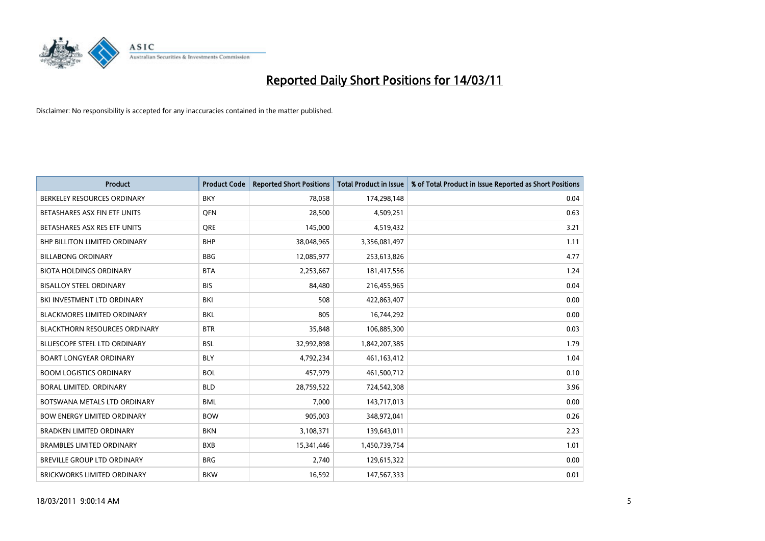

| <b>Product</b>                       | <b>Product Code</b> | <b>Reported Short Positions</b> | <b>Total Product in Issue</b> | % of Total Product in Issue Reported as Short Positions |
|--------------------------------------|---------------------|---------------------------------|-------------------------------|---------------------------------------------------------|
| BERKELEY RESOURCES ORDINARY          | <b>BKY</b>          | 78,058                          | 174,298,148                   | 0.04                                                    |
| BETASHARES ASX FIN ETF UNITS         | <b>OFN</b>          | 28,500                          | 4,509,251                     | 0.63                                                    |
| BETASHARES ASX RES ETF UNITS         | <b>ORE</b>          | 145,000                         | 4,519,432                     | 3.21                                                    |
| <b>BHP BILLITON LIMITED ORDINARY</b> | <b>BHP</b>          | 38,048,965                      | 3,356,081,497                 | 1.11                                                    |
| <b>BILLABONG ORDINARY</b>            | <b>BBG</b>          | 12,085,977                      | 253,613,826                   | 4.77                                                    |
| <b>BIOTA HOLDINGS ORDINARY</b>       | <b>BTA</b>          | 2,253,667                       | 181,417,556                   | 1.24                                                    |
| <b>BISALLOY STEEL ORDINARY</b>       | <b>BIS</b>          | 84,480                          | 216,455,965                   | 0.04                                                    |
| BKI INVESTMENT LTD ORDINARY          | <b>BKI</b>          | 508                             | 422,863,407                   | 0.00                                                    |
| <b>BLACKMORES LIMITED ORDINARY</b>   | <b>BKL</b>          | 805                             | 16,744,292                    | 0.00                                                    |
| <b>BLACKTHORN RESOURCES ORDINARY</b> | <b>BTR</b>          | 35,848                          | 106,885,300                   | 0.03                                                    |
| <b>BLUESCOPE STEEL LTD ORDINARY</b>  | <b>BSL</b>          | 32,992,898                      | 1,842,207,385                 | 1.79                                                    |
| <b>BOART LONGYEAR ORDINARY</b>       | <b>BLY</b>          | 4,792,234                       | 461,163,412                   | 1.04                                                    |
| <b>BOOM LOGISTICS ORDINARY</b>       | <b>BOL</b>          | 457,979                         | 461,500,712                   | 0.10                                                    |
| BORAL LIMITED, ORDINARY              | <b>BLD</b>          | 28,759,522                      | 724,542,308                   | 3.96                                                    |
| BOTSWANA METALS LTD ORDINARY         | <b>BML</b>          | 7,000                           | 143,717,013                   | 0.00                                                    |
| <b>BOW ENERGY LIMITED ORDINARY</b>   | <b>BOW</b>          | 905,003                         | 348,972,041                   | 0.26                                                    |
| <b>BRADKEN LIMITED ORDINARY</b>      | <b>BKN</b>          | 3,108,371                       | 139,643,011                   | 2.23                                                    |
| <b>BRAMBLES LIMITED ORDINARY</b>     | <b>BXB</b>          | 15,341,446                      | 1,450,739,754                 | 1.01                                                    |
| BREVILLE GROUP LTD ORDINARY          | <b>BRG</b>          | 2,740                           | 129,615,322                   | 0.00                                                    |
| <b>BRICKWORKS LIMITED ORDINARY</b>   | <b>BKW</b>          | 16,592                          | 147,567,333                   | 0.01                                                    |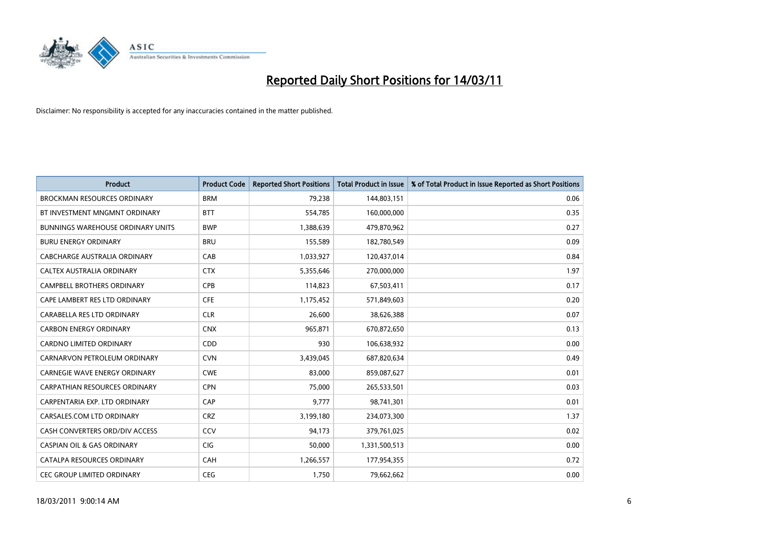

| <b>Product</b>                           | <b>Product Code</b> | <b>Reported Short Positions</b> | Total Product in Issue | % of Total Product in Issue Reported as Short Positions |
|------------------------------------------|---------------------|---------------------------------|------------------------|---------------------------------------------------------|
| <b>BROCKMAN RESOURCES ORDINARY</b>       | <b>BRM</b>          | 79,238                          | 144,803,151            | 0.06                                                    |
| BT INVESTMENT MNGMNT ORDINARY            | <b>BTT</b>          | 554,785                         | 160,000,000            | 0.35                                                    |
| <b>BUNNINGS WAREHOUSE ORDINARY UNITS</b> | <b>BWP</b>          | 1,388,639                       | 479,870,962            | 0.27                                                    |
| <b>BURU ENERGY ORDINARY</b>              | <b>BRU</b>          | 155,589                         | 182,780,549            | 0.09                                                    |
| CABCHARGE AUSTRALIA ORDINARY             | CAB                 | 1,033,927                       | 120,437,014            | 0.84                                                    |
| CALTEX AUSTRALIA ORDINARY                | <b>CTX</b>          | 5,355,646                       | 270,000,000            | 1.97                                                    |
| <b>CAMPBELL BROTHERS ORDINARY</b>        | <b>CPB</b>          | 114,823                         | 67,503,411             | 0.17                                                    |
| CAPE LAMBERT RES LTD ORDINARY            | <b>CFE</b>          | 1,175,452                       | 571,849,603            | 0.20                                                    |
| CARABELLA RES LTD ORDINARY               | <b>CLR</b>          | 26,600                          | 38,626,388             | 0.07                                                    |
| <b>CARBON ENERGY ORDINARY</b>            | <b>CNX</b>          | 965,871                         | 670,872,650            | 0.13                                                    |
| CARDNO LIMITED ORDINARY                  | CDD                 | 930                             | 106,638,932            | 0.00                                                    |
| CARNARVON PETROLEUM ORDINARY             | <b>CVN</b>          | 3,439,045                       | 687,820,634            | 0.49                                                    |
| CARNEGIE WAVE ENERGY ORDINARY            | <b>CWE</b>          | 83.000                          | 859,087,627            | 0.01                                                    |
| CARPATHIAN RESOURCES ORDINARY            | <b>CPN</b>          | 75,000                          | 265,533,501            | 0.03                                                    |
| CARPENTARIA EXP. LTD ORDINARY            | CAP                 | 9,777                           | 98,741,301             | 0.01                                                    |
| CARSALES.COM LTD ORDINARY                | <b>CRZ</b>          | 3,199,180                       | 234,073,300            | 1.37                                                    |
| CASH CONVERTERS ORD/DIV ACCESS           | CCV                 | 94,173                          | 379,761,025            | 0.02                                                    |
| <b>CASPIAN OIL &amp; GAS ORDINARY</b>    | CIG                 | 50,000                          | 1,331,500,513          | 0.00                                                    |
| CATALPA RESOURCES ORDINARY               | CAH                 | 1,266,557                       | 177,954,355            | 0.72                                                    |
| <b>CEC GROUP LIMITED ORDINARY</b>        | <b>CEG</b>          | 1.750                           | 79,662,662             | 0.00                                                    |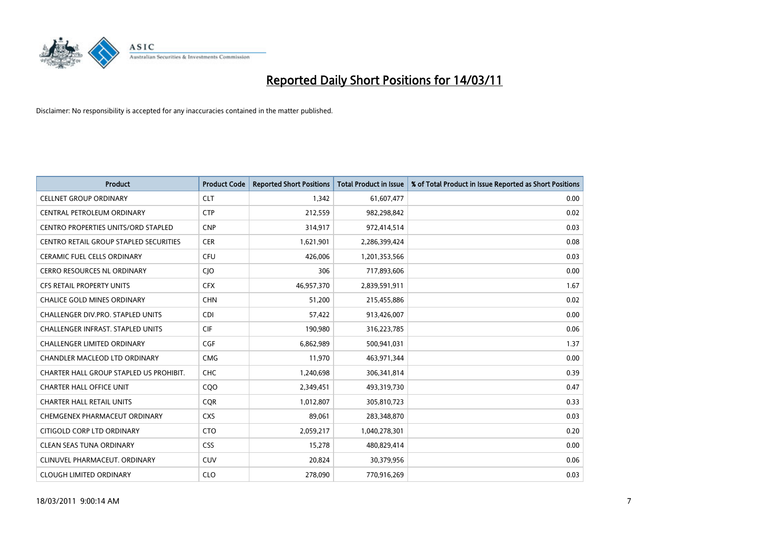

| <b>Product</b>                             | <b>Product Code</b> | <b>Reported Short Positions</b> | Total Product in Issue | % of Total Product in Issue Reported as Short Positions |
|--------------------------------------------|---------------------|---------------------------------|------------------------|---------------------------------------------------------|
| <b>CELLNET GROUP ORDINARY</b>              | <b>CLT</b>          | 1,342                           | 61,607,477             | 0.00                                                    |
| CENTRAL PETROLEUM ORDINARY                 | <b>CTP</b>          | 212,559                         | 982,298,842            | 0.02                                                    |
| <b>CENTRO PROPERTIES UNITS/ORD STAPLED</b> | <b>CNP</b>          | 314,917                         | 972,414,514            | 0.03                                                    |
| CENTRO RETAIL GROUP STAPLED SECURITIES     | <b>CER</b>          | 1,621,901                       | 2,286,399,424          | 0.08                                                    |
| <b>CERAMIC FUEL CELLS ORDINARY</b>         | <b>CFU</b>          | 426,006                         | 1,201,353,566          | 0.03                                                    |
| <b>CERRO RESOURCES NL ORDINARY</b>         | CJO                 | 306                             | 717,893,606            | 0.00                                                    |
| <b>CFS RETAIL PROPERTY UNITS</b>           | <b>CFX</b>          | 46,957,370                      | 2,839,591,911          | 1.67                                                    |
| <b>CHALICE GOLD MINES ORDINARY</b>         | <b>CHN</b>          | 51,200                          | 215,455,886            | 0.02                                                    |
| CHALLENGER DIV.PRO. STAPLED UNITS          | <b>CDI</b>          | 57,422                          | 913,426,007            | 0.00                                                    |
| CHALLENGER INFRAST. STAPLED UNITS          | <b>CIF</b>          | 190,980                         | 316,223,785            | 0.06                                                    |
| <b>CHALLENGER LIMITED ORDINARY</b>         | <b>CGF</b>          | 6,862,989                       | 500,941,031            | 1.37                                                    |
| <b>CHANDLER MACLEOD LTD ORDINARY</b>       | <b>CMG</b>          | 11,970                          | 463,971,344            | 0.00                                                    |
| CHARTER HALL GROUP STAPLED US PROHIBIT.    | <b>CHC</b>          | 1,240,698                       | 306,341,814            | 0.39                                                    |
| <b>CHARTER HALL OFFICE UNIT</b>            | CQ <sub>O</sub>     | 2,349,451                       | 493,319,730            | 0.47                                                    |
| <b>CHARTER HALL RETAIL UNITS</b>           | <b>COR</b>          | 1,012,807                       | 305,810,723            | 0.33                                                    |
| CHEMGENEX PHARMACEUT ORDINARY              | <b>CXS</b>          | 89,061                          | 283,348,870            | 0.03                                                    |
| CITIGOLD CORP LTD ORDINARY                 | <b>CTO</b>          | 2,059,217                       | 1,040,278,301          | 0.20                                                    |
| CLEAN SEAS TUNA ORDINARY                   | <b>CSS</b>          | 15,278                          | 480,829,414            | 0.00                                                    |
| CLINUVEL PHARMACEUT, ORDINARY              | <b>CUV</b>          | 20,824                          | 30,379,956             | 0.06                                                    |
| <b>CLOUGH LIMITED ORDINARY</b>             | <b>CLO</b>          | 278,090                         | 770,916,269            | 0.03                                                    |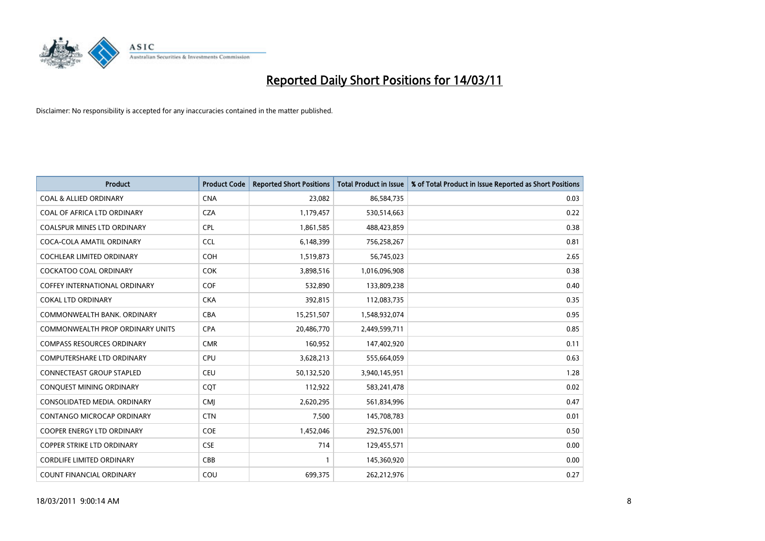

| <b>Product</b>                     | <b>Product Code</b> | <b>Reported Short Positions</b> | Total Product in Issue | % of Total Product in Issue Reported as Short Positions |
|------------------------------------|---------------------|---------------------------------|------------------------|---------------------------------------------------------|
| <b>COAL &amp; ALLIED ORDINARY</b>  | <b>CNA</b>          | 23,082                          | 86,584,735             | 0.03                                                    |
| COAL OF AFRICA LTD ORDINARY        | <b>CZA</b>          | 1,179,457                       | 530,514,663            | 0.22                                                    |
| <b>COALSPUR MINES LTD ORDINARY</b> | <b>CPL</b>          | 1,861,585                       | 488,423,859            | 0.38                                                    |
| COCA-COLA AMATIL ORDINARY          | <b>CCL</b>          | 6,148,399                       | 756,258,267            | 0.81                                                    |
| <b>COCHLEAR LIMITED ORDINARY</b>   | <b>COH</b>          | 1,519,873                       | 56,745,023             | 2.65                                                    |
| <b>COCKATOO COAL ORDINARY</b>      | <b>COK</b>          | 3,898,516                       | 1,016,096,908          | 0.38                                                    |
| COFFEY INTERNATIONAL ORDINARY      | <b>COF</b>          | 532,890                         | 133,809,238            | 0.40                                                    |
| <b>COKAL LTD ORDINARY</b>          | <b>CKA</b>          | 392,815                         | 112,083,735            | 0.35                                                    |
| COMMONWEALTH BANK, ORDINARY        | <b>CBA</b>          | 15,251,507                      | 1,548,932,074          | 0.95                                                    |
| COMMONWEALTH PROP ORDINARY UNITS   | <b>CPA</b>          | 20,486,770                      | 2,449,599,711          | 0.85                                                    |
| <b>COMPASS RESOURCES ORDINARY</b>  | <b>CMR</b>          | 160,952                         | 147,402,920            | 0.11                                                    |
| <b>COMPUTERSHARE LTD ORDINARY</b>  | <b>CPU</b>          | 3,628,213                       | 555,664,059            | 0.63                                                    |
| <b>CONNECTEAST GROUP STAPLED</b>   | <b>CEU</b>          | 50,132,520                      | 3,940,145,951          | 1.28                                                    |
| CONQUEST MINING ORDINARY           | COT                 | 112,922                         | 583,241,478            | 0.02                                                    |
| CONSOLIDATED MEDIA, ORDINARY       | <b>CMI</b>          | 2,620,295                       | 561,834,996            | 0.47                                                    |
| CONTANGO MICROCAP ORDINARY         | <b>CTN</b>          | 7,500                           | 145,708,783            | 0.01                                                    |
| <b>COOPER ENERGY LTD ORDINARY</b>  | <b>COE</b>          | 1,452,046                       | 292,576,001            | 0.50                                                    |
| COPPER STRIKE LTD ORDINARY         | <b>CSE</b>          | 714                             | 129,455,571            | 0.00                                                    |
| <b>CORDLIFE LIMITED ORDINARY</b>   | CBB                 |                                 | 145,360,920            | 0.00                                                    |
| COUNT FINANCIAL ORDINARY           | COU                 | 699,375                         | 262,212,976            | 0.27                                                    |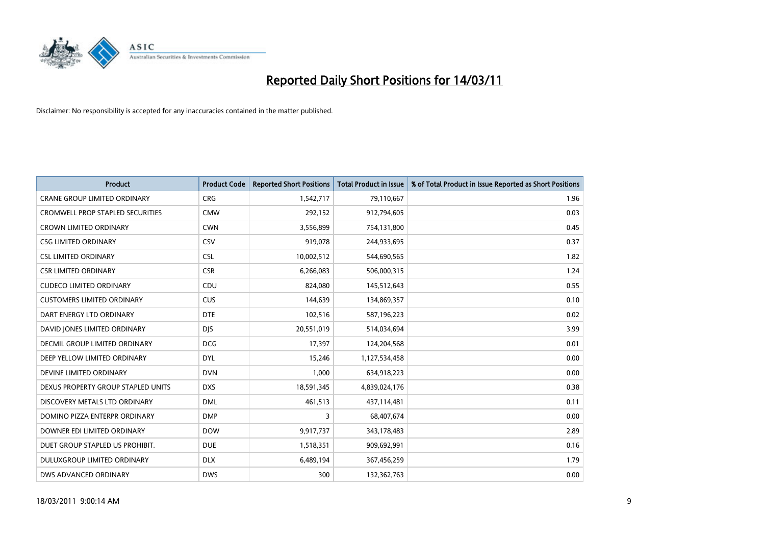

| <b>Product</b>                          | <b>Product Code</b> | <b>Reported Short Positions</b> | <b>Total Product in Issue</b> | % of Total Product in Issue Reported as Short Positions |
|-----------------------------------------|---------------------|---------------------------------|-------------------------------|---------------------------------------------------------|
| <b>CRANE GROUP LIMITED ORDINARY</b>     | <b>CRG</b>          | 1,542,717                       | 79,110,667                    | 1.96                                                    |
| <b>CROMWELL PROP STAPLED SECURITIES</b> | <b>CMW</b>          | 292,152                         | 912,794,605                   | 0.03                                                    |
| <b>CROWN LIMITED ORDINARY</b>           | <b>CWN</b>          | 3,556,899                       | 754,131,800                   | 0.45                                                    |
| <b>CSG LIMITED ORDINARY</b>             | CSV                 | 919,078                         | 244,933,695                   | 0.37                                                    |
| <b>CSL LIMITED ORDINARY</b>             | <b>CSL</b>          | 10,002,512                      | 544,690,565                   | 1.82                                                    |
| <b>CSR LIMITED ORDINARY</b>             | <b>CSR</b>          | 6,266,083                       | 506,000,315                   | 1.24                                                    |
| <b>CUDECO LIMITED ORDINARY</b>          | CDU                 | 824.080                         | 145,512,643                   | 0.55                                                    |
| <b>CUSTOMERS LIMITED ORDINARY</b>       | <b>CUS</b>          | 144,639                         | 134,869,357                   | 0.10                                                    |
| DART ENERGY LTD ORDINARY                | <b>DTE</b>          | 102,516                         | 587,196,223                   | 0.02                                                    |
| DAVID IONES LIMITED ORDINARY            | <b>DJS</b>          | 20,551,019                      | 514,034,694                   | 3.99                                                    |
| DECMIL GROUP LIMITED ORDINARY           | <b>DCG</b>          | 17,397                          | 124,204,568                   | 0.01                                                    |
| DEEP YELLOW LIMITED ORDINARY            | <b>DYL</b>          | 15,246                          | 1,127,534,458                 | 0.00                                                    |
| DEVINE LIMITED ORDINARY                 | <b>DVN</b>          | 1,000                           | 634,918,223                   | 0.00                                                    |
| DEXUS PROPERTY GROUP STAPLED UNITS      | <b>DXS</b>          | 18,591,345                      | 4,839,024,176                 | 0.38                                                    |
| DISCOVERY METALS LTD ORDINARY           | <b>DML</b>          | 461,513                         | 437,114,481                   | 0.11                                                    |
| DOMINO PIZZA ENTERPR ORDINARY           | <b>DMP</b>          | 3                               | 68,407,674                    | 0.00                                                    |
| DOWNER EDI LIMITED ORDINARY             | <b>DOW</b>          | 9,917,737                       | 343,178,483                   | 2.89                                                    |
| DUET GROUP STAPLED US PROHIBIT.         | <b>DUE</b>          | 1,518,351                       | 909,692,991                   | 0.16                                                    |
| DULUXGROUP LIMITED ORDINARY             | <b>DLX</b>          | 6,489,194                       | 367,456,259                   | 1.79                                                    |
| DWS ADVANCED ORDINARY                   | <b>DWS</b>          | 300                             | 132,362,763                   | 0.00                                                    |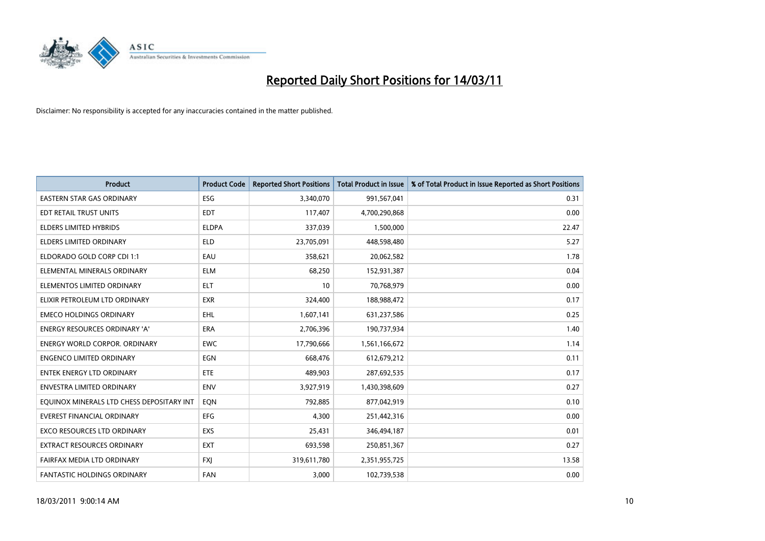

| <b>Product</b>                            | <b>Product Code</b> | <b>Reported Short Positions</b> | <b>Total Product in Issue</b> | % of Total Product in Issue Reported as Short Positions |
|-------------------------------------------|---------------------|---------------------------------|-------------------------------|---------------------------------------------------------|
| <b>EASTERN STAR GAS ORDINARY</b>          | <b>ESG</b>          | 3,340,070                       | 991,567,041                   | 0.31                                                    |
| EDT RETAIL TRUST UNITS                    | <b>EDT</b>          | 117,407                         | 4,700,290,868                 | 0.00                                                    |
| <b>ELDERS LIMITED HYBRIDS</b>             | <b>ELDPA</b>        | 337,039                         | 1,500,000                     | 22.47                                                   |
| ELDERS LIMITED ORDINARY                   | <b>ELD</b>          | 23,705,091                      | 448,598,480                   | 5.27                                                    |
| ELDORADO GOLD CORP CDI 1:1                | EAU                 | 358,621                         | 20,062,582                    | 1.78                                                    |
| ELEMENTAL MINERALS ORDINARY               | <b>ELM</b>          | 68.250                          | 152,931,387                   | 0.04                                                    |
| ELEMENTOS LIMITED ORDINARY                | <b>ELT</b>          | 10                              | 70,768,979                    | 0.00                                                    |
| ELIXIR PETROLEUM LTD ORDINARY             | <b>EXR</b>          | 324,400                         | 188,988,472                   | 0.17                                                    |
| <b>EMECO HOLDINGS ORDINARY</b>            | <b>EHL</b>          | 1,607,141                       | 631,237,586                   | 0.25                                                    |
| <b>ENERGY RESOURCES ORDINARY 'A'</b>      | <b>ERA</b>          | 2,706,396                       | 190,737,934                   | 1.40                                                    |
| <b>ENERGY WORLD CORPOR, ORDINARY</b>      | <b>EWC</b>          | 17,790,666                      | 1,561,166,672                 | 1.14                                                    |
| <b>ENGENCO LIMITED ORDINARY</b>           | EGN                 | 668,476                         | 612,679,212                   | 0.11                                                    |
| <b>ENTEK ENERGY LTD ORDINARY</b>          | <b>ETE</b>          | 489,903                         | 287,692,535                   | 0.17                                                    |
| <b>ENVESTRA LIMITED ORDINARY</b>          | <b>ENV</b>          | 3,927,919                       | 1,430,398,609                 | 0.27                                                    |
| EQUINOX MINERALS LTD CHESS DEPOSITARY INT | EON                 | 792,885                         | 877,042,919                   | 0.10                                                    |
| <b>EVEREST FINANCIAL ORDINARY</b>         | <b>EFG</b>          | 4.300                           | 251,442,316                   | 0.00                                                    |
| <b>EXCO RESOURCES LTD ORDINARY</b>        | <b>EXS</b>          | 25,431                          | 346,494,187                   | 0.01                                                    |
| EXTRACT RESOURCES ORDINARY                | <b>EXT</b>          | 693,598                         | 250,851,367                   | 0.27                                                    |
| FAIRFAX MEDIA LTD ORDINARY                | <b>FXI</b>          | 319,611,780                     | 2,351,955,725                 | 13.58                                                   |
| FANTASTIC HOLDINGS ORDINARY               | FAN                 | 3,000                           | 102,739,538                   | 0.00                                                    |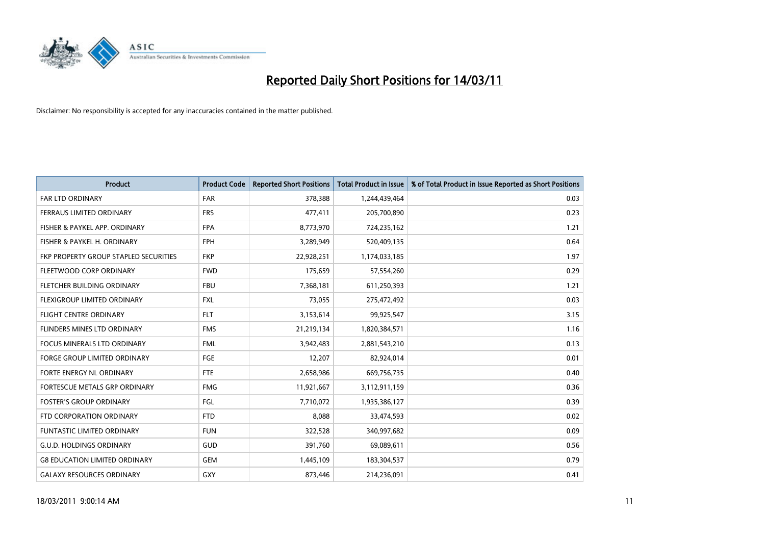

| <b>Product</b>                        | <b>Product Code</b> | <b>Reported Short Positions</b> | <b>Total Product in Issue</b> | % of Total Product in Issue Reported as Short Positions |
|---------------------------------------|---------------------|---------------------------------|-------------------------------|---------------------------------------------------------|
| <b>FAR LTD ORDINARY</b>               | FAR                 | 378,388                         | 1,244,439,464                 | 0.03                                                    |
| FERRAUS LIMITED ORDINARY              | <b>FRS</b>          | 477,411                         | 205,700,890                   | 0.23                                                    |
| FISHER & PAYKEL APP. ORDINARY         | <b>FPA</b>          | 8,773,970                       | 724,235,162                   | 1.21                                                    |
| FISHER & PAYKEL H. ORDINARY           | <b>FPH</b>          | 3,289,949                       | 520,409,135                   | 0.64                                                    |
| FKP PROPERTY GROUP STAPLED SECURITIES | <b>FKP</b>          | 22,928,251                      | 1,174,033,185                 | 1.97                                                    |
| FLEETWOOD CORP ORDINARY               | <b>FWD</b>          | 175,659                         | 57,554,260                    | 0.29                                                    |
| FLETCHER BUILDING ORDINARY            | <b>FBU</b>          | 7,368,181                       | 611,250,393                   | 1.21                                                    |
| FLEXIGROUP LIMITED ORDINARY           | <b>FXL</b>          | 73,055                          | 275,472,492                   | 0.03                                                    |
| FLIGHT CENTRE ORDINARY                | <b>FLT</b>          | 3,153,614                       | 99,925,547                    | 3.15                                                    |
| FLINDERS MINES LTD ORDINARY           | <b>FMS</b>          | 21,219,134                      | 1,820,384,571                 | 1.16                                                    |
| <b>FOCUS MINERALS LTD ORDINARY</b>    | <b>FML</b>          | 3,942,483                       | 2,881,543,210                 | 0.13                                                    |
| <b>FORGE GROUP LIMITED ORDINARY</b>   | FGE                 | 12,207                          | 82,924,014                    | 0.01                                                    |
| FORTE ENERGY NL ORDINARY              | <b>FTE</b>          | 2,658,986                       | 669,756,735                   | 0.40                                                    |
| FORTESCUE METALS GRP ORDINARY         | <b>FMG</b>          | 11,921,667                      | 3,112,911,159                 | 0.36                                                    |
| <b>FOSTER'S GROUP ORDINARY</b>        | FGL                 | 7,710,072                       | 1,935,386,127                 | 0.39                                                    |
| FTD CORPORATION ORDINARY              | <b>FTD</b>          | 8,088                           | 33,474,593                    | 0.02                                                    |
| <b>FUNTASTIC LIMITED ORDINARY</b>     | <b>FUN</b>          | 322,528                         | 340,997,682                   | 0.09                                                    |
| <b>G.U.D. HOLDINGS ORDINARY</b>       | GUD                 | 391,760                         | 69,089,611                    | 0.56                                                    |
| <b>G8 EDUCATION LIMITED ORDINARY</b>  | <b>GEM</b>          | 1,445,109                       | 183,304,537                   | 0.79                                                    |
| <b>GALAXY RESOURCES ORDINARY</b>      | <b>GXY</b>          | 873,446                         | 214,236,091                   | 0.41                                                    |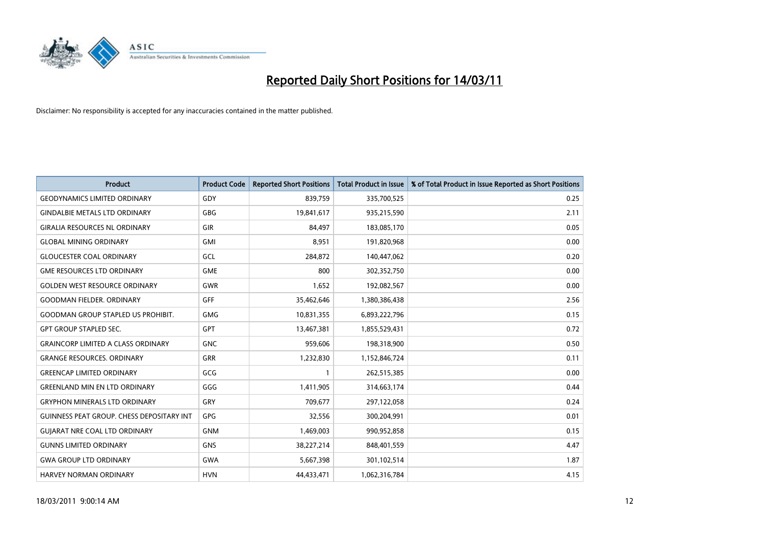

| <b>Product</b>                            | <b>Product Code</b> | <b>Reported Short Positions</b> | Total Product in Issue | % of Total Product in Issue Reported as Short Positions |
|-------------------------------------------|---------------------|---------------------------------|------------------------|---------------------------------------------------------|
| <b>GEODYNAMICS LIMITED ORDINARY</b>       | GDY                 | 839,759                         | 335,700,525            | 0.25                                                    |
| <b>GINDALBIE METALS LTD ORDINARY</b>      | <b>GBG</b>          | 19,841,617                      | 935,215,590            | 2.11                                                    |
| <b>GIRALIA RESOURCES NL ORDINARY</b>      | GIR                 | 84,497                          | 183,085,170            | 0.05                                                    |
| <b>GLOBAL MINING ORDINARY</b>             | <b>GMI</b>          | 8,951                           | 191,820,968            | 0.00                                                    |
| <b>GLOUCESTER COAL ORDINARY</b>           | GCL                 | 284.872                         | 140,447,062            | 0.20                                                    |
| <b>GME RESOURCES LTD ORDINARY</b>         | <b>GME</b>          | 800                             | 302,352,750            | 0.00                                                    |
| <b>GOLDEN WEST RESOURCE ORDINARY</b>      | <b>GWR</b>          | 1.652                           | 192,082,567            | 0.00                                                    |
| <b>GOODMAN FIELDER, ORDINARY</b>          | GFF                 | 35,462,646                      | 1,380,386,438          | 2.56                                                    |
| <b>GOODMAN GROUP STAPLED US PROHIBIT.</b> | <b>GMG</b>          | 10,831,355                      | 6,893,222,796          | 0.15                                                    |
| <b>GPT GROUP STAPLED SEC.</b>             | <b>GPT</b>          | 13,467,381                      | 1,855,529,431          | 0.72                                                    |
| <b>GRAINCORP LIMITED A CLASS ORDINARY</b> | <b>GNC</b>          | 959,606                         | 198,318,900            | 0.50                                                    |
| <b>GRANGE RESOURCES, ORDINARY</b>         | <b>GRR</b>          | 1,232,830                       | 1,152,846,724          | 0.11                                                    |
| <b>GREENCAP LIMITED ORDINARY</b>          | GCG                 |                                 | 262,515,385            | 0.00                                                    |
| <b>GREENLAND MIN EN LTD ORDINARY</b>      | GGG                 | 1,411,905                       | 314,663,174            | 0.44                                                    |
| <b>GRYPHON MINERALS LTD ORDINARY</b>      | GRY                 | 709,677                         | 297,122,058            | 0.24                                                    |
| GUINNESS PEAT GROUP. CHESS DEPOSITARY INT | <b>GPG</b>          | 32,556                          | 300,204,991            | 0.01                                                    |
| <b>GUIARAT NRE COAL LTD ORDINARY</b>      | <b>GNM</b>          | 1,469,003                       | 990,952,858            | 0.15                                                    |
| <b>GUNNS LIMITED ORDINARY</b>             | <b>GNS</b>          | 38,227,214                      | 848,401,559            | 4.47                                                    |
| <b>GWA GROUP LTD ORDINARY</b>             | <b>GWA</b>          | 5,667,398                       | 301,102,514            | 1.87                                                    |
| <b>HARVEY NORMAN ORDINARY</b>             | <b>HVN</b>          | 44.433.471                      | 1,062,316,784          | 4.15                                                    |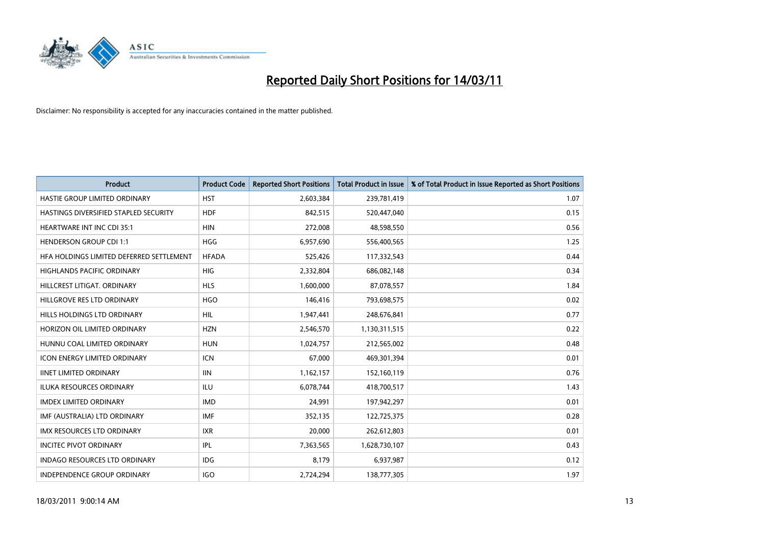

| <b>Product</b>                           | <b>Product Code</b> | <b>Reported Short Positions</b> | <b>Total Product in Issue</b> | % of Total Product in Issue Reported as Short Positions |
|------------------------------------------|---------------------|---------------------------------|-------------------------------|---------------------------------------------------------|
| HASTIE GROUP LIMITED ORDINARY            | <b>HST</b>          | 2,603,384                       | 239,781,419                   | 1.07                                                    |
| HASTINGS DIVERSIFIED STAPLED SECURITY    | <b>HDF</b>          | 842,515                         | 520,447,040                   | 0.15                                                    |
| <b>HEARTWARE INT INC CDI 35:1</b>        | <b>HIN</b>          | 272,008                         | 48,598,550                    | 0.56                                                    |
| <b>HENDERSON GROUP CDI 1:1</b>           | <b>HGG</b>          | 6,957,690                       | 556,400,565                   | 1.25                                                    |
| HFA HOLDINGS LIMITED DEFERRED SETTLEMENT | <b>HFADA</b>        | 525,426                         | 117,332,543                   | 0.44                                                    |
| <b>HIGHLANDS PACIFIC ORDINARY</b>        | HIG                 | 2,332,804                       | 686,082,148                   | 0.34                                                    |
| HILLCREST LITIGAT, ORDINARY              | <b>HLS</b>          | 1,600,000                       | 87,078,557                    | 1.84                                                    |
| HILLGROVE RES LTD ORDINARY               | <b>HGO</b>          | 146,416                         | 793,698,575                   | 0.02                                                    |
| HILLS HOLDINGS LTD ORDINARY              | <b>HIL</b>          | 1,947,441                       | 248,676,841                   | 0.77                                                    |
| HORIZON OIL LIMITED ORDINARY             | <b>HZN</b>          | 2,546,570                       | 1,130,311,515                 | 0.22                                                    |
| HUNNU COAL LIMITED ORDINARY              | <b>HUN</b>          | 1,024,757                       | 212,565,002                   | 0.48                                                    |
| <b>ICON ENERGY LIMITED ORDINARY</b>      | <b>ICN</b>          | 67,000                          | 469,301,394                   | 0.01                                                    |
| <b>IINET LIMITED ORDINARY</b>            | <b>IIN</b>          | 1,162,157                       | 152,160,119                   | 0.76                                                    |
| <b>ILUKA RESOURCES ORDINARY</b>          | ILU                 | 6,078,744                       | 418,700,517                   | 1.43                                                    |
| <b>IMDEX LIMITED ORDINARY</b>            | <b>IMD</b>          | 24,991                          | 197,942,297                   | 0.01                                                    |
| IMF (AUSTRALIA) LTD ORDINARY             | IMF                 | 352,135                         | 122,725,375                   | 0.28                                                    |
| <b>IMX RESOURCES LTD ORDINARY</b>        | <b>IXR</b>          | 20,000                          | 262,612,803                   | 0.01                                                    |
| <b>INCITEC PIVOT ORDINARY</b>            | <b>IPL</b>          | 7,363,565                       | 1,628,730,107                 | 0.43                                                    |
| <b>INDAGO RESOURCES LTD ORDINARY</b>     | <b>IDG</b>          | 8,179                           | 6,937,987                     | 0.12                                                    |
| INDEPENDENCE GROUP ORDINARY              | <b>IGO</b>          | 2,724,294                       | 138,777,305                   | 1.97                                                    |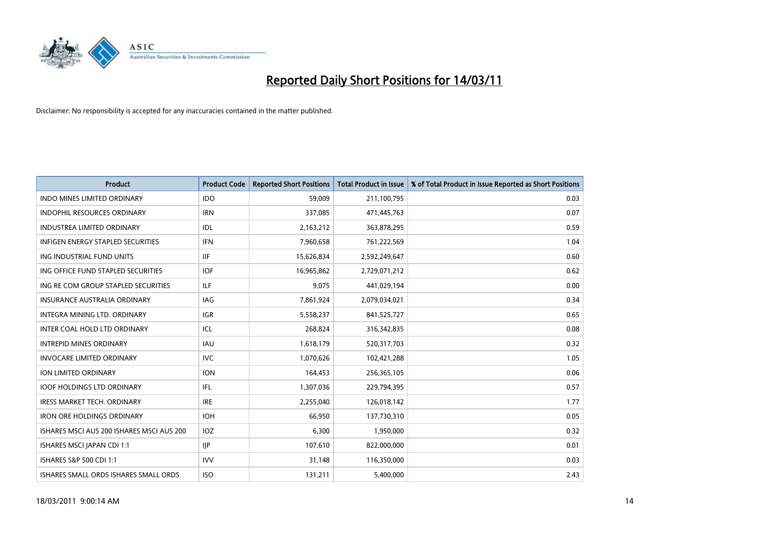

| <b>Product</b>                            | <b>Product Code</b> | <b>Reported Short Positions</b> | Total Product in Issue | % of Total Product in Issue Reported as Short Positions |
|-------------------------------------------|---------------------|---------------------------------|------------------------|---------------------------------------------------------|
| <b>INDO MINES LIMITED ORDINARY</b>        | <b>IDO</b>          | 59,009                          | 211,100,795            | 0.03                                                    |
| INDOPHIL RESOURCES ORDINARY               | <b>IRN</b>          | 337,085                         | 471,445,763            | 0.07                                                    |
| <b>INDUSTREA LIMITED ORDINARY</b>         | IDL                 | 2,163,212                       | 363,878,295            | 0.59                                                    |
| INFIGEN ENERGY STAPLED SECURITIES         | <b>IFN</b>          | 7,960,658                       | 761,222,569            | 1.04                                                    |
| ING INDUSTRIAL FUND UNITS                 | <b>IIF</b>          | 15,626,834                      | 2,592,249,647          | 0.60                                                    |
| ING OFFICE FUND STAPLED SECURITIES        | <b>IOF</b>          | 16,965,862                      | 2,729,071,212          | 0.62                                                    |
| ING RE COM GROUP STAPLED SECURITIES       | ILF.                | 9,075                           | 441,029,194            | 0.00                                                    |
| <b>INSURANCE AUSTRALIA ORDINARY</b>       | IAG                 | 7,861,924                       | 2,079,034,021          | 0.34                                                    |
| INTEGRA MINING LTD. ORDINARY              | IGR                 | 5,558,237                       | 841,525,727            | 0.65                                                    |
| INTER COAL HOLD LTD ORDINARY              | ICL                 | 268,824                         | 316,342,835            | 0.08                                                    |
| <b>INTREPID MINES ORDINARY</b>            | <b>IAU</b>          | 1,618,179                       | 520,317,703            | 0.32                                                    |
| <b>INVOCARE LIMITED ORDINARY</b>          | <b>IVC</b>          | 1,070,626                       | 102,421,288            | 1.05                                                    |
| <b>ION LIMITED ORDINARY</b>               | <b>ION</b>          | 164,453                         | 256,365,105            | 0.06                                                    |
| <b>IOOF HOLDINGS LTD ORDINARY</b>         | <b>IFL</b>          | 1,307,036                       | 229,794,395            | 0.57                                                    |
| <b>IRESS MARKET TECH. ORDINARY</b>        | <b>IRE</b>          | 2,255,040                       | 126,018,142            | 1.77                                                    |
| <b>IRON ORE HOLDINGS ORDINARY</b>         | <b>IOH</b>          | 66,950                          | 137,730,310            | 0.05                                                    |
| ISHARES MSCI AUS 200 ISHARES MSCI AUS 200 | IOZ                 | 6,300                           | 1,950,000              | 0.32                                                    |
| ISHARES MSCI JAPAN CDI 1:1                | IIP                 | 107,610                         | 822,000,000            | 0.01                                                    |
| ISHARES S&P 500 CDI 1:1                   | <b>IVV</b>          | 31,148                          | 116,350,000            | 0.03                                                    |
| ISHARES SMALL ORDS ISHARES SMALL ORDS     | <b>ISO</b>          | 131,211                         | 5,400,000              | 2.43                                                    |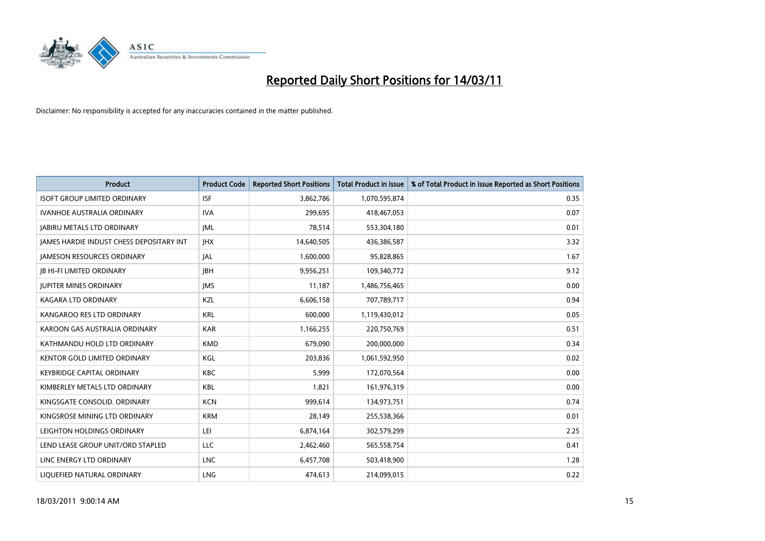

| <b>Product</b>                           | <b>Product Code</b> | <b>Reported Short Positions</b> | <b>Total Product in Issue</b> | % of Total Product in Issue Reported as Short Positions |
|------------------------------------------|---------------------|---------------------------------|-------------------------------|---------------------------------------------------------|
| <b>ISOFT GROUP LIMITED ORDINARY</b>      | <b>ISF</b>          | 3,862,786                       | 1,070,595,874                 | 0.35                                                    |
| <b>IVANHOE AUSTRALIA ORDINARY</b>        | <b>IVA</b>          | 299.695                         | 418,467,053                   | 0.07                                                    |
| <b>JABIRU METALS LTD ORDINARY</b>        | <b>JML</b>          | 78,514                          | 553,304,180                   | 0.01                                                    |
| JAMES HARDIE INDUST CHESS DEPOSITARY INT | <b>IHX</b>          | 14,640,505                      | 436,386,587                   | 3.32                                                    |
| <b>IAMESON RESOURCES ORDINARY</b>        | <b>JAL</b>          | 1,600,000                       | 95,828,865                    | 1.67                                                    |
| <b>JB HI-FI LIMITED ORDINARY</b>         | <b>IBH</b>          | 9,956,251                       | 109,340,772                   | 9.12                                                    |
| <b>JUPITER MINES ORDINARY</b>            | <b>IMS</b>          | 11,187                          | 1,486,756,465                 | 0.00                                                    |
| KAGARA LTD ORDINARY                      | KZL                 | 6,606,158                       | 707,789,717                   | 0.94                                                    |
| KANGAROO RES LTD ORDINARY                | <b>KRL</b>          | 600,000                         | 1,119,430,012                 | 0.05                                                    |
| KAROON GAS AUSTRALIA ORDINARY            | <b>KAR</b>          | 1,166,255                       | 220,750,769                   | 0.51                                                    |
| KATHMANDU HOLD LTD ORDINARY              | <b>KMD</b>          | 679,090                         | 200,000,000                   | 0.34                                                    |
| <b>KENTOR GOLD LIMITED ORDINARY</b>      | KGL                 | 203,836                         | 1,061,592,950                 | 0.02                                                    |
| <b>KEYBRIDGE CAPITAL ORDINARY</b>        | <b>KBC</b>          | 5,999                           | 172,070,564                   | 0.00                                                    |
| KIMBERLEY METALS LTD ORDINARY            | <b>KBL</b>          | 1,821                           | 161,976,319                   | 0.00                                                    |
| KINGSGATE CONSOLID. ORDINARY             | <b>KCN</b>          | 999,614                         | 134,973,751                   | 0.74                                                    |
| KINGSROSE MINING LTD ORDINARY            | <b>KRM</b>          | 28,149                          | 255,538,366                   | 0.01                                                    |
| LEIGHTON HOLDINGS ORDINARY               | LEI                 | 6,874,164                       | 302,579,299                   | 2.25                                                    |
| LEND LEASE GROUP UNIT/ORD STAPLED        | <b>LLC</b>          | 2,462,460                       | 565,558,754                   | 0.41                                                    |
| LINC ENERGY LTD ORDINARY                 | <b>LNC</b>          | 6,457,708                       | 503,418,900                   | 1.28                                                    |
| LIQUEFIED NATURAL ORDINARY               | <b>LNG</b>          | 474,613                         | 214,099,015                   | 0.22                                                    |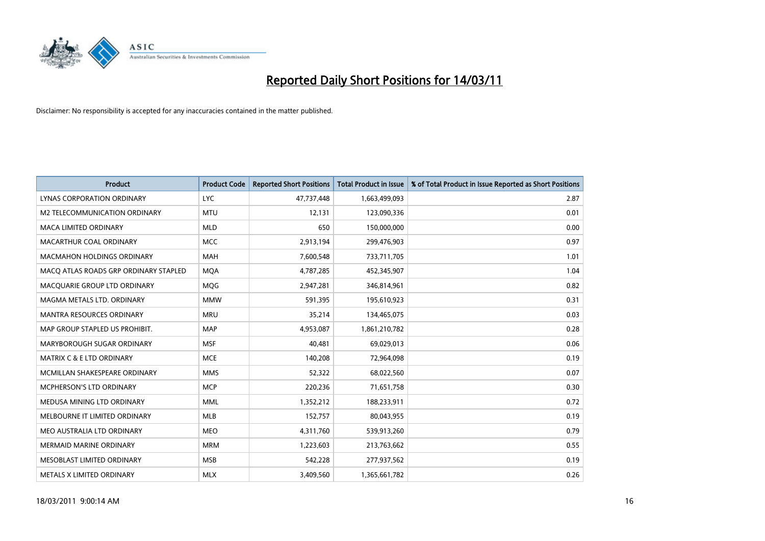

| <b>Product</b>                        | <b>Product Code</b> | <b>Reported Short Positions</b> | Total Product in Issue | % of Total Product in Issue Reported as Short Positions |
|---------------------------------------|---------------------|---------------------------------|------------------------|---------------------------------------------------------|
| <b>LYNAS CORPORATION ORDINARY</b>     | <b>LYC</b>          | 47,737,448                      | 1,663,499,093          | 2.87                                                    |
| M2 TELECOMMUNICATION ORDINARY         | <b>MTU</b>          | 12,131                          | 123,090,336            | 0.01                                                    |
| <b>MACA LIMITED ORDINARY</b>          | <b>MLD</b>          | 650                             | 150,000,000            | 0.00                                                    |
| MACARTHUR COAL ORDINARY               | <b>MCC</b>          | 2,913,194                       | 299,476,903            | 0.97                                                    |
| <b>MACMAHON HOLDINGS ORDINARY</b>     | <b>MAH</b>          | 7,600,548                       | 733,711,705            | 1.01                                                    |
| MACQ ATLAS ROADS GRP ORDINARY STAPLED | <b>MQA</b>          | 4,787,285                       | 452,345,907            | 1.04                                                    |
| MACQUARIE GROUP LTD ORDINARY          | MQG                 | 2,947,281                       | 346,814,961            | 0.82                                                    |
| MAGMA METALS LTD. ORDINARY            | <b>MMW</b>          | 591,395                         | 195,610,923            | 0.31                                                    |
| MANTRA RESOURCES ORDINARY             | <b>MRU</b>          | 35,214                          | 134,465,075            | 0.03                                                    |
| MAP GROUP STAPLED US PROHIBIT.        | <b>MAP</b>          | 4,953,087                       | 1,861,210,782          | 0.28                                                    |
| MARYBOROUGH SUGAR ORDINARY            | <b>MSF</b>          | 40,481                          | 69,029,013             | 0.06                                                    |
| <b>MATRIX C &amp; E LTD ORDINARY</b>  | <b>MCE</b>          | 140,208                         | 72,964,098             | 0.19                                                    |
| MCMILLAN SHAKESPEARE ORDINARY         | <b>MMS</b>          | 52,322                          | 68,022,560             | 0.07                                                    |
| <b>MCPHERSON'S LTD ORDINARY</b>       | <b>MCP</b>          | 220,236                         | 71,651,758             | 0.30                                                    |
| MEDUSA MINING LTD ORDINARY            | <b>MML</b>          | 1,352,212                       | 188,233,911            | 0.72                                                    |
| MELBOURNE IT LIMITED ORDINARY         | <b>MLB</b>          | 152,757                         | 80,043,955             | 0.19                                                    |
| MEO AUSTRALIA LTD ORDINARY            | <b>MEO</b>          | 4,311,760                       | 539,913,260            | 0.79                                                    |
| MERMAID MARINE ORDINARY               | <b>MRM</b>          | 1,223,603                       | 213,763,662            | 0.55                                                    |
| MESOBLAST LIMITED ORDINARY            | <b>MSB</b>          | 542,228                         | 277,937,562            | 0.19                                                    |
| METALS X LIMITED ORDINARY             | <b>MLX</b>          | 3,409,560                       | 1,365,661,782          | 0.26                                                    |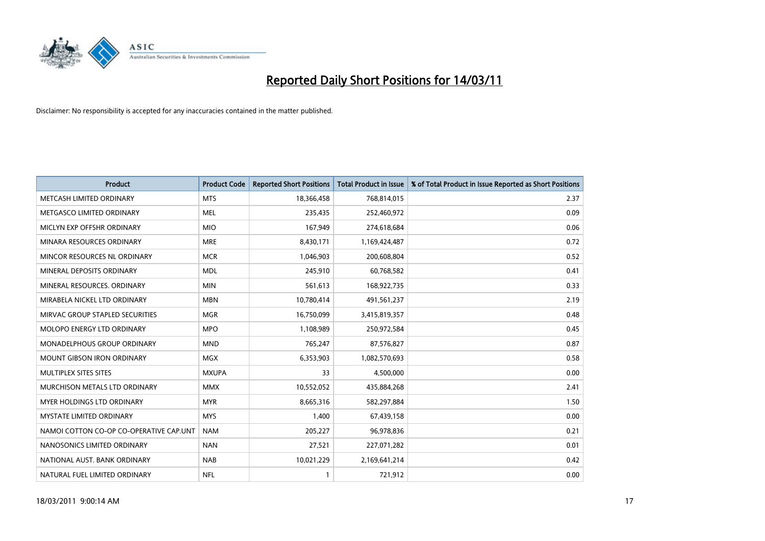

| <b>Product</b>                          | <b>Product Code</b> | <b>Reported Short Positions</b> | Total Product in Issue | % of Total Product in Issue Reported as Short Positions |
|-----------------------------------------|---------------------|---------------------------------|------------------------|---------------------------------------------------------|
| METCASH LIMITED ORDINARY                | <b>MTS</b>          | 18,366,458                      | 768,814,015            | 2.37                                                    |
| METGASCO LIMITED ORDINARY               | <b>MEL</b>          | 235,435                         | 252,460,972            | 0.09                                                    |
| MICLYN EXP OFFSHR ORDINARY              | <b>MIO</b>          | 167,949                         | 274,618,684            | 0.06                                                    |
| MINARA RESOURCES ORDINARY               | <b>MRE</b>          | 8,430,171                       | 1,169,424,487          | 0.72                                                    |
| MINCOR RESOURCES NL ORDINARY            | <b>MCR</b>          | 1,046,903                       | 200,608,804            | 0.52                                                    |
| MINERAL DEPOSITS ORDINARY               | <b>MDL</b>          | 245,910                         | 60,768,582             | 0.41                                                    |
| MINERAL RESOURCES. ORDINARY             | <b>MIN</b>          | 561,613                         | 168,922,735            | 0.33                                                    |
| MIRABELA NICKEL LTD ORDINARY            | <b>MBN</b>          | 10,780,414                      | 491,561,237            | 2.19                                                    |
| MIRVAC GROUP STAPLED SECURITIES         | <b>MGR</b>          | 16,750,099                      | 3,415,819,357          | 0.48                                                    |
| MOLOPO ENERGY LTD ORDINARY              | <b>MPO</b>          | 1,108,989                       | 250,972,584            | 0.45                                                    |
| MONADELPHOUS GROUP ORDINARY             | <b>MND</b>          | 765,247                         | 87,576,827             | 0.87                                                    |
| <b>MOUNT GIBSON IRON ORDINARY</b>       | <b>MGX</b>          | 6,353,903                       | 1,082,570,693          | 0.58                                                    |
| MULTIPLEX SITES SITES                   | <b>MXUPA</b>        | 33                              | 4,500,000              | 0.00                                                    |
| MURCHISON METALS LTD ORDINARY           | <b>MMX</b>          | 10,552,052                      | 435,884,268            | 2.41                                                    |
| MYER HOLDINGS LTD ORDINARY              | <b>MYR</b>          | 8,665,316                       | 582,297,884            | 1.50                                                    |
| <b>MYSTATE LIMITED ORDINARY</b>         | <b>MYS</b>          | 1.400                           | 67,439,158             | 0.00                                                    |
| NAMOI COTTON CO-OP CO-OPERATIVE CAP.UNT | <b>NAM</b>          | 205,227                         | 96,978,836             | 0.21                                                    |
| NANOSONICS LIMITED ORDINARY             | <b>NAN</b>          | 27,521                          | 227,071,282            | 0.01                                                    |
| NATIONAL AUST, BANK ORDINARY            | <b>NAB</b>          | 10,021,229                      | 2,169,641,214          | 0.42                                                    |
| NATURAL FUEL LIMITED ORDINARY           | <b>NFL</b>          |                                 | 721,912                | 0.00                                                    |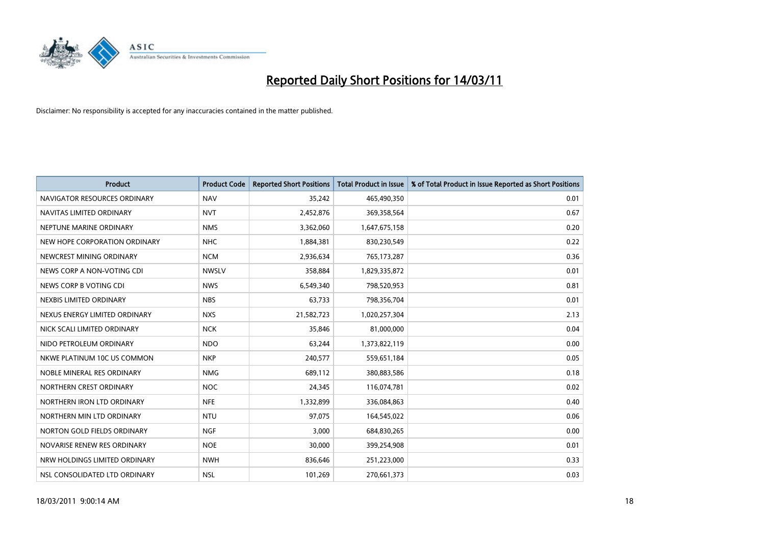

| <b>Product</b>                | <b>Product Code</b> | <b>Reported Short Positions</b> | <b>Total Product in Issue</b> | % of Total Product in Issue Reported as Short Positions |
|-------------------------------|---------------------|---------------------------------|-------------------------------|---------------------------------------------------------|
| NAVIGATOR RESOURCES ORDINARY  | <b>NAV</b>          | 35,242                          | 465,490,350                   | 0.01                                                    |
| NAVITAS LIMITED ORDINARY      | <b>NVT</b>          | 2,452,876                       | 369,358,564                   | 0.67                                                    |
| NEPTUNE MARINE ORDINARY       | <b>NMS</b>          | 3,362,060                       | 1,647,675,158                 | 0.20                                                    |
| NEW HOPE CORPORATION ORDINARY | <b>NHC</b>          | 1,884,381                       | 830,230,549                   | 0.22                                                    |
| NEWCREST MINING ORDINARY      | <b>NCM</b>          | 2,936,634                       | 765,173,287                   | 0.36                                                    |
| NEWS CORP A NON-VOTING CDI    | <b>NWSLV</b>        | 358,884                         | 1,829,335,872                 | 0.01                                                    |
| NEWS CORP B VOTING CDI        | <b>NWS</b>          | 6,549,340                       | 798,520,953                   | 0.81                                                    |
| NEXBIS LIMITED ORDINARY       | <b>NBS</b>          | 63,733                          | 798,356,704                   | 0.01                                                    |
| NEXUS ENERGY LIMITED ORDINARY | <b>NXS</b>          | 21,582,723                      | 1,020,257,304                 | 2.13                                                    |
| NICK SCALI LIMITED ORDINARY   | <b>NCK</b>          | 35,846                          | 81,000,000                    | 0.04                                                    |
| NIDO PETROLEUM ORDINARY       | <b>NDO</b>          | 63,244                          | 1,373,822,119                 | 0.00                                                    |
| NKWE PLATINUM 10C US COMMON   | <b>NKP</b>          | 240,577                         | 559,651,184                   | 0.05                                                    |
| NOBLE MINERAL RES ORDINARY    | <b>NMG</b>          | 689,112                         | 380,883,586                   | 0.18                                                    |
| NORTHERN CREST ORDINARY       | <b>NOC</b>          | 24,345                          | 116,074,781                   | 0.02                                                    |
| NORTHERN IRON LTD ORDINARY    | <b>NFE</b>          | 1,332,899                       | 336,084,863                   | 0.40                                                    |
| NORTHERN MIN LTD ORDINARY     | <b>NTU</b>          | 97,075                          | 164,545,022                   | 0.06                                                    |
| NORTON GOLD FIELDS ORDINARY   | <b>NGF</b>          | 3,000                           | 684,830,265                   | 0.00                                                    |
| NOVARISE RENEW RES ORDINARY   | <b>NOE</b>          | 30,000                          | 399,254,908                   | 0.01                                                    |
| NRW HOLDINGS LIMITED ORDINARY | <b>NWH</b>          | 836,646                         | 251,223,000                   | 0.33                                                    |
| NSL CONSOLIDATED LTD ORDINARY | <b>NSL</b>          | 101,269                         | 270,661,373                   | 0.03                                                    |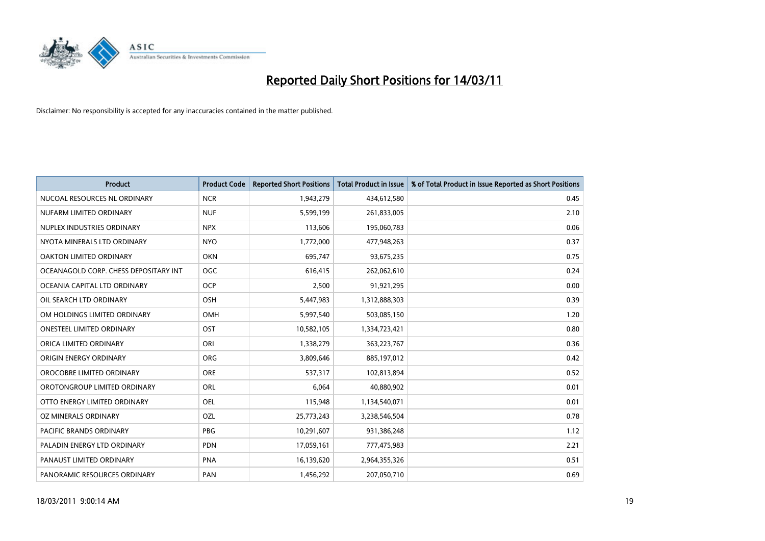

| <b>Product</b>                        | <b>Product Code</b> | <b>Reported Short Positions</b> | <b>Total Product in Issue</b> | % of Total Product in Issue Reported as Short Positions |
|---------------------------------------|---------------------|---------------------------------|-------------------------------|---------------------------------------------------------|
| NUCOAL RESOURCES NL ORDINARY          | <b>NCR</b>          | 1,943,279                       | 434,612,580                   | 0.45                                                    |
| NUFARM LIMITED ORDINARY               | <b>NUF</b>          | 5,599,199                       | 261,833,005                   | 2.10                                                    |
| NUPLEX INDUSTRIES ORDINARY            | <b>NPX</b>          | 113,606                         | 195,060,783                   | 0.06                                                    |
| NYOTA MINERALS LTD ORDINARY           | <b>NYO</b>          | 1,772,000                       | 477,948,263                   | 0.37                                                    |
| OAKTON LIMITED ORDINARY               | <b>OKN</b>          | 695,747                         | 93,675,235                    | 0.75                                                    |
| OCEANAGOLD CORP. CHESS DEPOSITARY INT | <b>OGC</b>          | 616,415                         | 262,062,610                   | 0.24                                                    |
| OCEANIA CAPITAL LTD ORDINARY          | <b>OCP</b>          | 2,500                           | 91,921,295                    | 0.00                                                    |
| OIL SEARCH LTD ORDINARY               | OSH                 | 5,447,983                       | 1,312,888,303                 | 0.39                                                    |
| OM HOLDINGS LIMITED ORDINARY          | OMH                 | 5,997,540                       | 503,085,150                   | 1.20                                                    |
| <b>ONESTEEL LIMITED ORDINARY</b>      | OST                 | 10,582,105                      | 1,334,723,421                 | 0.80                                                    |
| ORICA LIMITED ORDINARY                | ORI                 | 1,338,279                       | 363,223,767                   | 0.36                                                    |
| ORIGIN ENERGY ORDINARY                | ORG                 | 3,809,646                       | 885,197,012                   | 0.42                                                    |
| OROCOBRE LIMITED ORDINARY             | <b>ORE</b>          | 537,317                         | 102,813,894                   | 0.52                                                    |
| OROTONGROUP LIMITED ORDINARY          | <b>ORL</b>          | 6,064                           | 40,880,902                    | 0.01                                                    |
| OTTO ENERGY LIMITED ORDINARY          | <b>OEL</b>          | 115,948                         | 1,134,540,071                 | 0.01                                                    |
| OZ MINERALS ORDINARY                  | OZL                 | 25,773,243                      | 3,238,546,504                 | 0.78                                                    |
| <b>PACIFIC BRANDS ORDINARY</b>        | <b>PBG</b>          | 10,291,607                      | 931,386,248                   | 1.12                                                    |
| PALADIN ENERGY LTD ORDINARY           | <b>PDN</b>          | 17,059,161                      | 777,475,983                   | 2.21                                                    |
| PANAUST LIMITED ORDINARY              | <b>PNA</b>          | 16,139,620                      | 2,964,355,326                 | 0.51                                                    |
| PANORAMIC RESOURCES ORDINARY          | PAN                 | 1,456,292                       | 207,050,710                   | 0.69                                                    |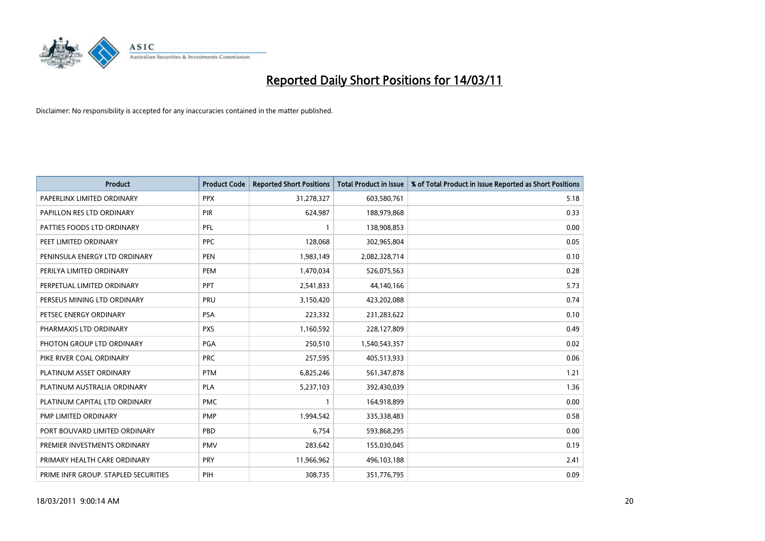

| Product                              | <b>Product Code</b> | <b>Reported Short Positions</b> | <b>Total Product in Issue</b> | % of Total Product in Issue Reported as Short Positions |
|--------------------------------------|---------------------|---------------------------------|-------------------------------|---------------------------------------------------------|
| PAPERLINX LIMITED ORDINARY           | <b>PPX</b>          | 31,278,327                      | 603,580,761                   | 5.18                                                    |
| PAPILLON RES LTD ORDINARY            | PIR                 | 624,987                         | 188,979,868                   | 0.33                                                    |
| PATTIES FOODS LTD ORDINARY           | PFL                 |                                 | 138,908,853                   | 0.00                                                    |
| PEET LIMITED ORDINARY                | <b>PPC</b>          | 128,068                         | 302,965,804                   | 0.05                                                    |
| PENINSULA ENERGY LTD ORDINARY        | <b>PEN</b>          | 1,983,149                       | 2,082,328,714                 | 0.10                                                    |
| PERILYA LIMITED ORDINARY             | PEM                 | 1,470,034                       | 526,075,563                   | 0.28                                                    |
| PERPETUAL LIMITED ORDINARY           | PPT                 | 2,541,833                       | 44,140,166                    | 5.73                                                    |
| PERSEUS MINING LTD ORDINARY          | PRU                 | 3,150,420                       | 423,202,088                   | 0.74                                                    |
| PETSEC ENERGY ORDINARY               | PSA                 | 223,332                         | 231,283,622                   | 0.10                                                    |
| PHARMAXIS LTD ORDINARY               | <b>PXS</b>          | 1,160,592                       | 228,127,809                   | 0.49                                                    |
| PHOTON GROUP LTD ORDINARY            | <b>PGA</b>          | 250,510                         | 1,540,543,357                 | 0.02                                                    |
| PIKE RIVER COAL ORDINARY             | <b>PRC</b>          | 257,595                         | 405,513,933                   | 0.06                                                    |
| PLATINUM ASSET ORDINARY              | <b>PTM</b>          | 6,825,246                       | 561,347,878                   | 1.21                                                    |
| PLATINUM AUSTRALIA ORDINARY          | <b>PLA</b>          | 5,237,103                       | 392,430,039                   | 1.36                                                    |
| PLATINUM CAPITAL LTD ORDINARY        | <b>PMC</b>          |                                 | 164,918,899                   | 0.00                                                    |
| PMP LIMITED ORDINARY                 | <b>PMP</b>          | 1,994,542                       | 335,338,483                   | 0.58                                                    |
| PORT BOUVARD LIMITED ORDINARY        | PBD                 | 6,754                           | 593,868,295                   | 0.00                                                    |
| PREMIER INVESTMENTS ORDINARY         | <b>PMV</b>          | 283,642                         | 155,030,045                   | 0.19                                                    |
| PRIMARY HEALTH CARE ORDINARY         | <b>PRY</b>          | 11,966,962                      | 496,103,188                   | 2.41                                                    |
| PRIME INFR GROUP. STAPLED SECURITIES | PIH                 | 308,735                         | 351,776,795                   | 0.09                                                    |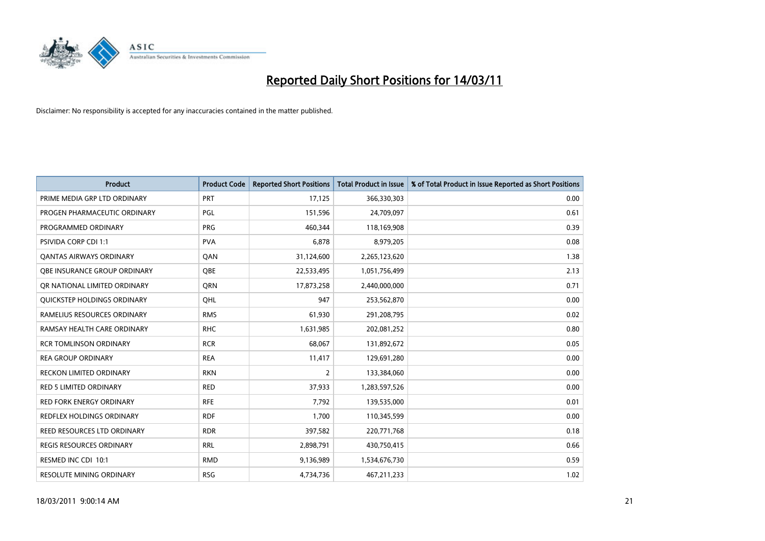

| <b>Product</b>                   | <b>Product Code</b> | <b>Reported Short Positions</b> | Total Product in Issue | % of Total Product in Issue Reported as Short Positions |
|----------------------------------|---------------------|---------------------------------|------------------------|---------------------------------------------------------|
| PRIME MEDIA GRP LTD ORDINARY     | <b>PRT</b>          | 17,125                          | 366,330,303            | 0.00                                                    |
| PROGEN PHARMACEUTIC ORDINARY     | PGL                 | 151,596                         | 24,709,097             | 0.61                                                    |
| PROGRAMMED ORDINARY              | <b>PRG</b>          | 460,344                         | 118,169,908            | 0.39                                                    |
| PSIVIDA CORP CDI 1:1             | <b>PVA</b>          | 6,878                           | 8,979,205              | 0.08                                                    |
| OANTAS AIRWAYS ORDINARY          | OAN                 | 31,124,600                      | 2,265,123,620          | 1.38                                                    |
| OBE INSURANCE GROUP ORDINARY     | <b>OBE</b>          | 22,533,495                      | 1,051,756,499          | 2.13                                                    |
| QR NATIONAL LIMITED ORDINARY     | <b>ORN</b>          | 17,873,258                      | 2,440,000,000          | 0.71                                                    |
| QUICKSTEP HOLDINGS ORDINARY      | OHL                 | 947                             | 253,562,870            | 0.00                                                    |
| RAMELIUS RESOURCES ORDINARY      | <b>RMS</b>          | 61,930                          | 291,208,795            | 0.02                                                    |
| RAMSAY HEALTH CARE ORDINARY      | <b>RHC</b>          | 1,631,985                       | 202,081,252            | 0.80                                                    |
| <b>RCR TOMLINSON ORDINARY</b>    | <b>RCR</b>          | 68,067                          | 131,892,672            | 0.05                                                    |
| <b>REA GROUP ORDINARY</b>        | <b>REA</b>          | 11,417                          | 129,691,280            | 0.00                                                    |
| <b>RECKON LIMITED ORDINARY</b>   | <b>RKN</b>          | $\overline{2}$                  | 133,384,060            | 0.00                                                    |
| <b>RED 5 LIMITED ORDINARY</b>    | <b>RED</b>          | 37,933                          | 1,283,597,526          | 0.00                                                    |
| <b>RED FORK ENERGY ORDINARY</b>  | <b>RFE</b>          | 7,792                           | 139,535,000            | 0.01                                                    |
| <b>REDFLEX HOLDINGS ORDINARY</b> | <b>RDF</b>          | 1.700                           | 110,345,599            | 0.00                                                    |
| REED RESOURCES LTD ORDINARY      | <b>RDR</b>          | 397,582                         | 220,771,768            | 0.18                                                    |
| REGIS RESOURCES ORDINARY         | <b>RRL</b>          | 2,898,791                       | 430,750,415            | 0.66                                                    |
| RESMED INC CDI 10:1              | <b>RMD</b>          | 9,136,989                       | 1,534,676,730          | 0.59                                                    |
| <b>RESOLUTE MINING ORDINARY</b>  | <b>RSG</b>          | 4,734,736                       | 467,211,233            | 1.02                                                    |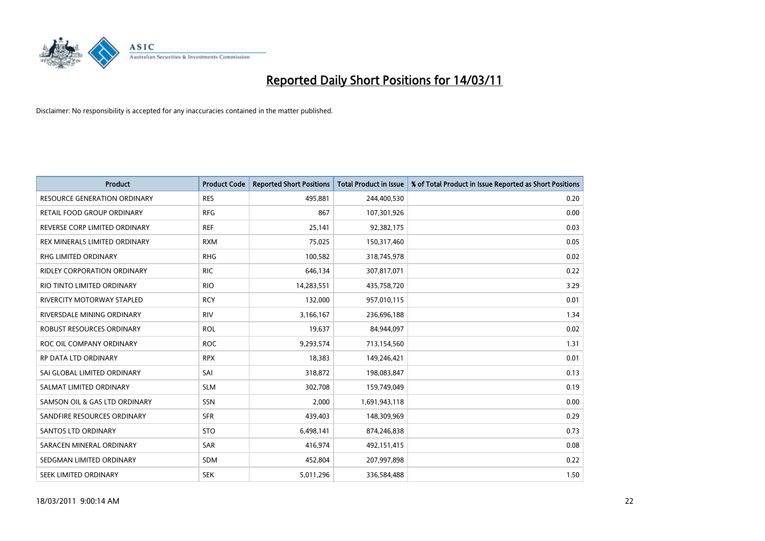

| Product                             | <b>Product Code</b> | <b>Reported Short Positions</b> | <b>Total Product in Issue</b> | % of Total Product in Issue Reported as Short Positions |
|-------------------------------------|---------------------|---------------------------------|-------------------------------|---------------------------------------------------------|
| <b>RESOURCE GENERATION ORDINARY</b> | <b>RES</b>          | 495,881                         | 244,400,530                   | 0.20                                                    |
| RETAIL FOOD GROUP ORDINARY          | <b>RFG</b>          | 867                             | 107,301,926                   | 0.00                                                    |
| REVERSE CORP LIMITED ORDINARY       | <b>REF</b>          | 25,141                          | 92,382,175                    | 0.03                                                    |
| REX MINERALS LIMITED ORDINARY       | <b>RXM</b>          | 75,025                          | 150,317,460                   | 0.05                                                    |
| <b>RHG LIMITED ORDINARY</b>         | <b>RHG</b>          | 100,582                         | 318,745,978                   | 0.02                                                    |
| <b>RIDLEY CORPORATION ORDINARY</b>  | <b>RIC</b>          | 646,134                         | 307,817,071                   | 0.22                                                    |
| RIO TINTO LIMITED ORDINARY          | <b>RIO</b>          | 14,283,551                      | 435,758,720                   | 3.29                                                    |
| <b>RIVERCITY MOTORWAY STAPLED</b>   | <b>RCY</b>          | 132,000                         | 957,010,115                   | 0.01                                                    |
| RIVERSDALE MINING ORDINARY          | <b>RIV</b>          | 3,166,167                       | 236,696,188                   | 1.34                                                    |
| <b>ROBUST RESOURCES ORDINARY</b>    | <b>ROL</b>          | 19,637                          | 84,944,097                    | 0.02                                                    |
| ROC OIL COMPANY ORDINARY            | <b>ROC</b>          | 9,293,574                       | 713,154,560                   | 1.31                                                    |
| RP DATA LTD ORDINARY                | <b>RPX</b>          | 18,383                          | 149,246,421                   | 0.01                                                    |
| SAI GLOBAL LIMITED ORDINARY         | SAI                 | 318,872                         | 198,083,847                   | 0.13                                                    |
| SALMAT LIMITED ORDINARY             | <b>SLM</b>          | 302,708                         | 159,749,049                   | 0.19                                                    |
| SAMSON OIL & GAS LTD ORDINARY       | SSN                 | 2,000                           | 1,691,943,118                 | 0.00                                                    |
| SANDFIRE RESOURCES ORDINARY         | <b>SFR</b>          | 439,403                         | 148,309,969                   | 0.29                                                    |
| <b>SANTOS LTD ORDINARY</b>          | <b>STO</b>          | 6,498,141                       | 874,246,838                   | 0.73                                                    |
| SARACEN MINERAL ORDINARY            | <b>SAR</b>          | 416,974                         | 492,151,415                   | 0.08                                                    |
| SEDGMAN LIMITED ORDINARY            | <b>SDM</b>          | 452,804                         | 207,997,898                   | 0.22                                                    |
| <b>SEEK LIMITED ORDINARY</b>        | <b>SEK</b>          | 5,011,296                       | 336,584,488                   | 1.50                                                    |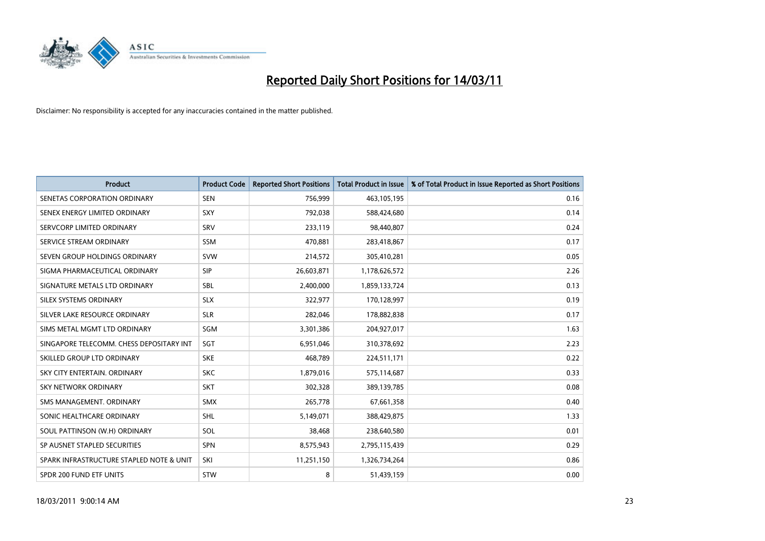

| <b>Product</b>                           | <b>Product Code</b> | <b>Reported Short Positions</b> | Total Product in Issue | % of Total Product in Issue Reported as Short Positions |
|------------------------------------------|---------------------|---------------------------------|------------------------|---------------------------------------------------------|
| SENETAS CORPORATION ORDINARY             | <b>SEN</b>          | 756,999                         | 463,105,195            | 0.16                                                    |
| SENEX ENERGY LIMITED ORDINARY            | SXY                 | 792,038                         | 588,424,680            | 0.14                                                    |
| SERVCORP LIMITED ORDINARY                | <b>SRV</b>          | 233,119                         | 98,440,807             | 0.24                                                    |
| SERVICE STREAM ORDINARY                  | <b>SSM</b>          | 470,881                         | 283,418,867            | 0.17                                                    |
| SEVEN GROUP HOLDINGS ORDINARY            | <b>SVW</b>          | 214,572                         | 305,410,281            | 0.05                                                    |
| SIGMA PHARMACEUTICAL ORDINARY            | <b>SIP</b>          | 26,603,871                      | 1,178,626,572          | 2.26                                                    |
| SIGNATURE METALS LTD ORDINARY            | <b>SBL</b>          | 2,400,000                       | 1,859,133,724          | 0.13                                                    |
| SILEX SYSTEMS ORDINARY                   | <b>SLX</b>          | 322,977                         | 170,128,997            | 0.19                                                    |
| SILVER LAKE RESOURCE ORDINARY            | <b>SLR</b>          | 282,046                         | 178,882,838            | 0.17                                                    |
| SIMS METAL MGMT LTD ORDINARY             | SGM                 | 3,301,386                       | 204,927,017            | 1.63                                                    |
| SINGAPORE TELECOMM. CHESS DEPOSITARY INT | SGT                 | 6,951,046                       | 310,378,692            | 2.23                                                    |
| SKILLED GROUP LTD ORDINARY               | <b>SKE</b>          | 468,789                         | 224,511,171            | 0.22                                                    |
| SKY CITY ENTERTAIN, ORDINARY             | <b>SKC</b>          | 1,879,016                       | 575,114,687            | 0.33                                                    |
| <b>SKY NETWORK ORDINARY</b>              | SKT                 | 302,328                         | 389,139,785            | 0.08                                                    |
| SMS MANAGEMENT, ORDINARY                 | <b>SMX</b>          | 265,778                         | 67,661,358             | 0.40                                                    |
| SONIC HEALTHCARE ORDINARY                | SHL                 | 5,149,071                       | 388,429,875            | 1.33                                                    |
| SOUL PATTINSON (W.H) ORDINARY            | SOL                 | 38,468                          | 238,640,580            | 0.01                                                    |
| SP AUSNET STAPLED SECURITIES             | <b>SPN</b>          | 8,575,943                       | 2,795,115,439          | 0.29                                                    |
| SPARK INFRASTRUCTURE STAPLED NOTE & UNIT | SKI                 | 11,251,150                      | 1,326,734,264          | 0.86                                                    |
| SPDR 200 FUND ETF UNITS                  | <b>STW</b>          | 8                               | 51,439,159             | 0.00                                                    |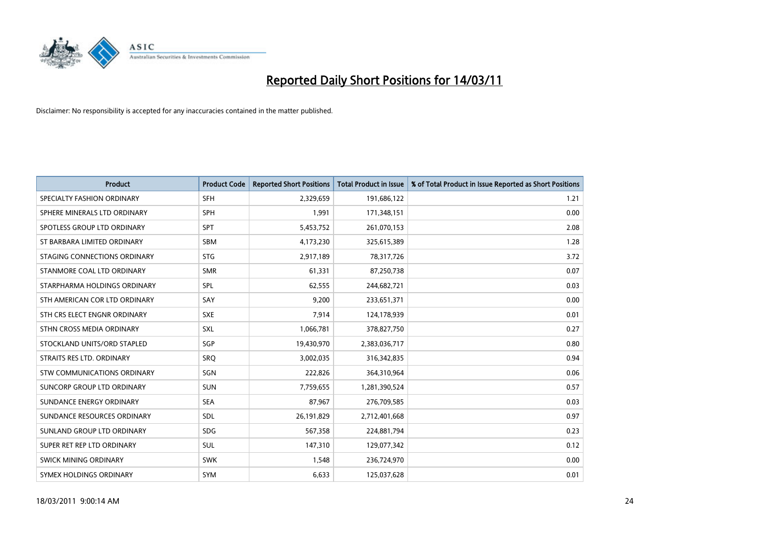

| <b>Product</b>                    | <b>Product Code</b> | <b>Reported Short Positions</b> | <b>Total Product in Issue</b> | % of Total Product in Issue Reported as Short Positions |
|-----------------------------------|---------------------|---------------------------------|-------------------------------|---------------------------------------------------------|
| SPECIALTY FASHION ORDINARY        | <b>SFH</b>          | 2,329,659                       | 191,686,122                   | 1.21                                                    |
| SPHERE MINERALS LTD ORDINARY      | <b>SPH</b>          | 1,991                           | 171,348,151                   | 0.00                                                    |
| SPOTLESS GROUP LTD ORDINARY       | <b>SPT</b>          | 5,453,752                       | 261,070,153                   | 2.08                                                    |
| ST BARBARA LIMITED ORDINARY       | <b>SBM</b>          | 4,173,230                       | 325,615,389                   | 1.28                                                    |
| STAGING CONNECTIONS ORDINARY      | <b>STG</b>          | 2,917,189                       | 78,317,726                    | 3.72                                                    |
| STANMORE COAL LTD ORDINARY        | <b>SMR</b>          | 61,331                          | 87,250,738                    | 0.07                                                    |
| STARPHARMA HOLDINGS ORDINARY      | SPL                 | 62,555                          | 244,682,721                   | 0.03                                                    |
| STH AMERICAN COR LTD ORDINARY     | SAY                 | 9,200                           | 233,651,371                   | 0.00                                                    |
| STH CRS ELECT ENGNR ORDINARY      | <b>SXE</b>          | 7,914                           | 124,178,939                   | 0.01                                                    |
| STHN CROSS MEDIA ORDINARY         | <b>SXL</b>          | 1,066,781                       | 378,827,750                   | 0.27                                                    |
| STOCKLAND UNITS/ORD STAPLED       | <b>SGP</b>          | 19,430,970                      | 2,383,036,717                 | 0.80                                                    |
| STRAITS RES LTD. ORDINARY         | <b>SRQ</b>          | 3,002,035                       | 316,342,835                   | 0.94                                                    |
| STW COMMUNICATIONS ORDINARY       | SGN                 | 222,826                         | 364,310,964                   | 0.06                                                    |
| <b>SUNCORP GROUP LTD ORDINARY</b> | <b>SUN</b>          | 7,759,655                       | 1,281,390,524                 | 0.57                                                    |
| SUNDANCE ENERGY ORDINARY          | <b>SEA</b>          | 87,967                          | 276,709,585                   | 0.03                                                    |
| SUNDANCE RESOURCES ORDINARY       | SDL                 | 26,191,829                      | 2,712,401,668                 | 0.97                                                    |
| SUNLAND GROUP LTD ORDINARY        | <b>SDG</b>          | 567,358                         | 224,881,794                   | 0.23                                                    |
| SUPER RET REP LTD ORDINARY        | <b>SUL</b>          | 147,310                         | 129,077,342                   | 0.12                                                    |
| SWICK MINING ORDINARY             | <b>SWK</b>          | 1,548                           | 236,724,970                   | 0.00                                                    |
| SYMEX HOLDINGS ORDINARY           | <b>SYM</b>          | 6,633                           | 125,037,628                   | 0.01                                                    |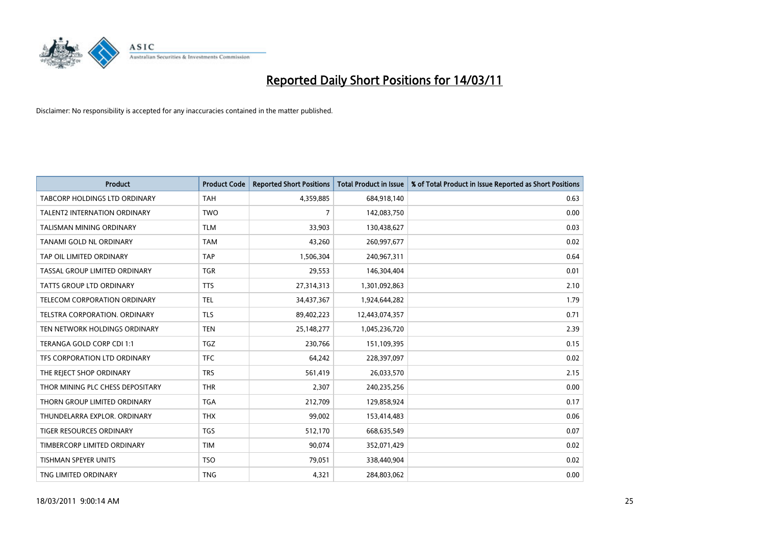

| <b>Product</b>                       | <b>Product Code</b> | <b>Reported Short Positions</b> | Total Product in Issue | % of Total Product in Issue Reported as Short Positions |
|--------------------------------------|---------------------|---------------------------------|------------------------|---------------------------------------------------------|
| <b>TABCORP HOLDINGS LTD ORDINARY</b> | <b>TAH</b>          | 4,359,885                       | 684,918,140            | 0.63                                                    |
| <b>TALENT2 INTERNATION ORDINARY</b>  | <b>TWO</b>          | 7                               | 142,083,750            | 0.00                                                    |
| TALISMAN MINING ORDINARY             | <b>TLM</b>          | 33,903                          | 130,438,627            | 0.03                                                    |
| TANAMI GOLD NL ORDINARY              | <b>TAM</b>          | 43,260                          | 260,997,677            | 0.02                                                    |
| TAP OIL LIMITED ORDINARY             | <b>TAP</b>          | 1,506,304                       | 240,967,311            | 0.64                                                    |
| TASSAL GROUP LIMITED ORDINARY        | <b>TGR</b>          | 29,553                          | 146,304,404            | 0.01                                                    |
| TATTS GROUP LTD ORDINARY             | <b>TTS</b>          | 27,314,313                      | 1,301,092,863          | 2.10                                                    |
| TELECOM CORPORATION ORDINARY         | <b>TEL</b>          | 34,437,367                      | 1,924,644,282          | 1.79                                                    |
| TELSTRA CORPORATION, ORDINARY        | <b>TLS</b>          | 89,402,223                      | 12,443,074,357         | 0.71                                                    |
| TEN NETWORK HOLDINGS ORDINARY        | <b>TEN</b>          | 25,148,277                      | 1,045,236,720          | 2.39                                                    |
| TERANGA GOLD CORP CDI 1:1            | <b>TGZ</b>          | 230,766                         | 151,109,395            | 0.15                                                    |
| TFS CORPORATION LTD ORDINARY         | <b>TFC</b>          | 64,242                          | 228,397,097            | 0.02                                                    |
| THE REJECT SHOP ORDINARY             | <b>TRS</b>          | 561,419                         | 26,033,570             | 2.15                                                    |
| THOR MINING PLC CHESS DEPOSITARY     | <b>THR</b>          | 2,307                           | 240,235,256            | 0.00                                                    |
| THORN GROUP LIMITED ORDINARY         | <b>TGA</b>          | 212,709                         | 129,858,924            | 0.17                                                    |
| THUNDELARRA EXPLOR. ORDINARY         | <b>THX</b>          | 99,002                          | 153,414,483            | 0.06                                                    |
| TIGER RESOURCES ORDINARY             | <b>TGS</b>          | 512,170                         | 668,635,549            | 0.07                                                    |
| TIMBERCORP LIMITED ORDINARY          | <b>TIM</b>          | 90,074                          | 352,071,429            | 0.02                                                    |
| <b>TISHMAN SPEYER UNITS</b>          | <b>TSO</b>          | 79,051                          | 338,440,904            | 0.02                                                    |
| TNG LIMITED ORDINARY                 | <b>TNG</b>          | 4,321                           | 284,803,062            | 0.00                                                    |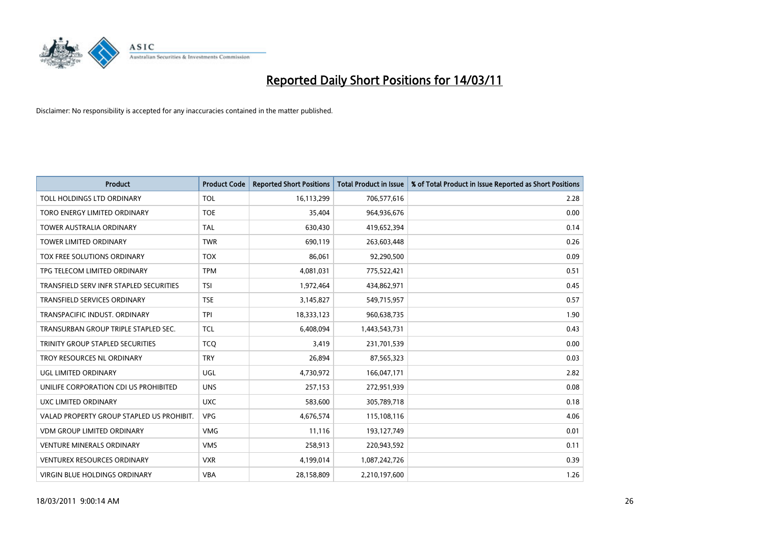

| <b>Product</b>                            | <b>Product Code</b> | <b>Reported Short Positions</b> | <b>Total Product in Issue</b> | % of Total Product in Issue Reported as Short Positions |
|-------------------------------------------|---------------------|---------------------------------|-------------------------------|---------------------------------------------------------|
| TOLL HOLDINGS LTD ORDINARY                | <b>TOL</b>          | 16,113,299                      | 706,577,616                   | 2.28                                                    |
| TORO ENERGY LIMITED ORDINARY              | <b>TOE</b>          | 35,404                          | 964,936,676                   | 0.00                                                    |
| <b>TOWER AUSTRALIA ORDINARY</b>           | <b>TAL</b>          | 630,430                         | 419,652,394                   | 0.14                                                    |
| TOWER LIMITED ORDINARY                    | <b>TWR</b>          | 690,119                         | 263,603,448                   | 0.26                                                    |
| TOX FREE SOLUTIONS ORDINARY               | <b>TOX</b>          | 86,061                          | 92,290,500                    | 0.09                                                    |
| TPG TELECOM LIMITED ORDINARY              | <b>TPM</b>          | 4,081,031                       | 775,522,421                   | 0.51                                                    |
| TRANSFIELD SERV INFR STAPLED SECURITIES   | <b>TSI</b>          | 1,972,464                       | 434,862,971                   | 0.45                                                    |
| TRANSFIELD SERVICES ORDINARY              | <b>TSE</b>          | 3,145,827                       | 549,715,957                   | 0.57                                                    |
| TRANSPACIFIC INDUST. ORDINARY             | <b>TPI</b>          | 18,333,123                      | 960,638,735                   | 1.90                                                    |
| TRANSURBAN GROUP TRIPLE STAPLED SEC.      | <b>TCL</b>          | 6,408,094                       | 1,443,543,731                 | 0.43                                                    |
| TRINITY GROUP STAPLED SECURITIES          | <b>TCQ</b>          | 3,419                           | 231,701,539                   | 0.00                                                    |
| TROY RESOURCES NL ORDINARY                | <b>TRY</b>          | 26,894                          | 87,565,323                    | 0.03                                                    |
| <b>UGL LIMITED ORDINARY</b>               | <b>UGL</b>          | 4,730,972                       | 166,047,171                   | 2.82                                                    |
| UNILIFE CORPORATION CDI US PROHIBITED     | <b>UNS</b>          | 257,153                         | 272,951,939                   | 0.08                                                    |
| UXC LIMITED ORDINARY                      | <b>UXC</b>          | 583,600                         | 305,789,718                   | 0.18                                                    |
| VALAD PROPERTY GROUP STAPLED US PROHIBIT. | <b>VPG</b>          | 4,676,574                       | 115,108,116                   | 4.06                                                    |
| <b>VDM GROUP LIMITED ORDINARY</b>         | <b>VMG</b>          | 11,116                          | 193,127,749                   | 0.01                                                    |
| <b>VENTURE MINERALS ORDINARY</b>          | <b>VMS</b>          | 258,913                         | 220,943,592                   | 0.11                                                    |
| <b>VENTUREX RESOURCES ORDINARY</b>        | <b>VXR</b>          | 4,199,014                       | 1,087,242,726                 | 0.39                                                    |
| VIRGIN BLUE HOLDINGS ORDINARY             | <b>VBA</b>          | 28,158,809                      | 2,210,197,600                 | 1.26                                                    |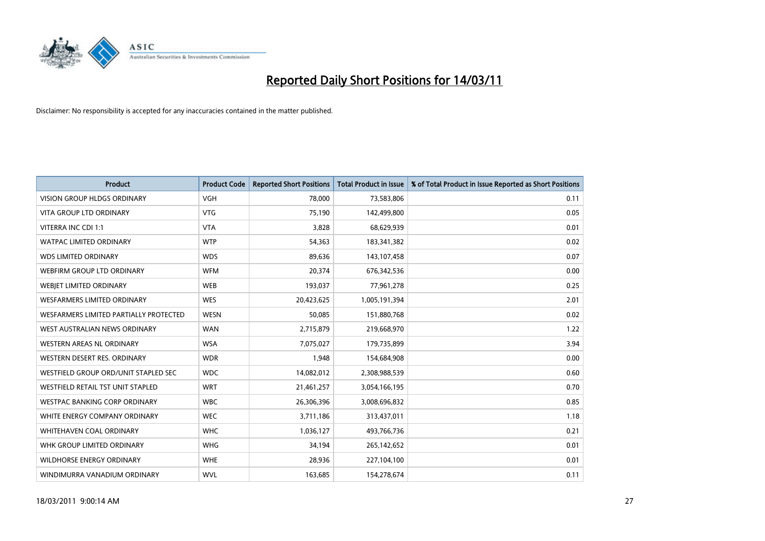

| Product                                | <b>Product Code</b> | <b>Reported Short Positions</b> | <b>Total Product in Issue</b> | % of Total Product in Issue Reported as Short Positions |
|----------------------------------------|---------------------|---------------------------------|-------------------------------|---------------------------------------------------------|
| <b>VISION GROUP HLDGS ORDINARY</b>     | <b>VGH</b>          | 78,000                          | 73,583,806                    | 0.11                                                    |
| <b>VITA GROUP LTD ORDINARY</b>         | <b>VTG</b>          | 75,190                          | 142,499,800                   | 0.05                                                    |
| VITERRA INC CDI 1:1                    | <b>VTA</b>          | 3,828                           | 68,629,939                    | 0.01                                                    |
| WATPAC LIMITED ORDINARY                | <b>WTP</b>          | 54,363                          | 183,341,382                   | 0.02                                                    |
| <b>WDS LIMITED ORDINARY</b>            | <b>WDS</b>          | 89,636                          | 143,107,458                   | 0.07                                                    |
| WEBFIRM GROUP LTD ORDINARY             | <b>WFM</b>          | 20,374                          | 676,342,536                   | 0.00                                                    |
| WEBJET LIMITED ORDINARY                | <b>WEB</b>          | 193,037                         | 77,961,278                    | 0.25                                                    |
| <b>WESFARMERS LIMITED ORDINARY</b>     | <b>WES</b>          | 20,423,625                      | 1,005,191,394                 | 2.01                                                    |
| WESFARMERS LIMITED PARTIALLY PROTECTED | <b>WESN</b>         | 50,085                          | 151,880,768                   | 0.02                                                    |
| WEST AUSTRALIAN NEWS ORDINARY          | <b>WAN</b>          | 2,715,879                       | 219,668,970                   | 1.22                                                    |
| <b>WESTERN AREAS NL ORDINARY</b>       | <b>WSA</b>          | 7,075,027                       | 179,735,899                   | 3.94                                                    |
| WESTERN DESERT RES. ORDINARY           | <b>WDR</b>          | 1,948                           | 154,684,908                   | 0.00                                                    |
| WESTFIELD GROUP ORD/UNIT STAPLED SEC   | <b>WDC</b>          | 14,082,012                      | 2,308,988,539                 | 0.60                                                    |
| WESTFIELD RETAIL TST UNIT STAPLED      | <b>WRT</b>          | 21,461,257                      | 3,054,166,195                 | 0.70                                                    |
| <b>WESTPAC BANKING CORP ORDINARY</b>   | <b>WBC</b>          | 26,306,396                      | 3,008,696,832                 | 0.85                                                    |
| WHITE ENERGY COMPANY ORDINARY          | <b>WEC</b>          | 3,711,186                       | 313,437,011                   | 1.18                                                    |
| <b>WHITEHAVEN COAL ORDINARY</b>        | <b>WHC</b>          | 1,036,127                       | 493,766,736                   | 0.21                                                    |
| WHK GROUP LIMITED ORDINARY             | <b>WHG</b>          | 34,194                          | 265,142,652                   | 0.01                                                    |
| <b>WILDHORSE ENERGY ORDINARY</b>       | <b>WHE</b>          | 28,936                          | 227,104,100                   | 0.01                                                    |
| WINDIMURRA VANADIUM ORDINARY           | <b>WVL</b>          | 163,685                         | 154,278,674                   | 0.11                                                    |